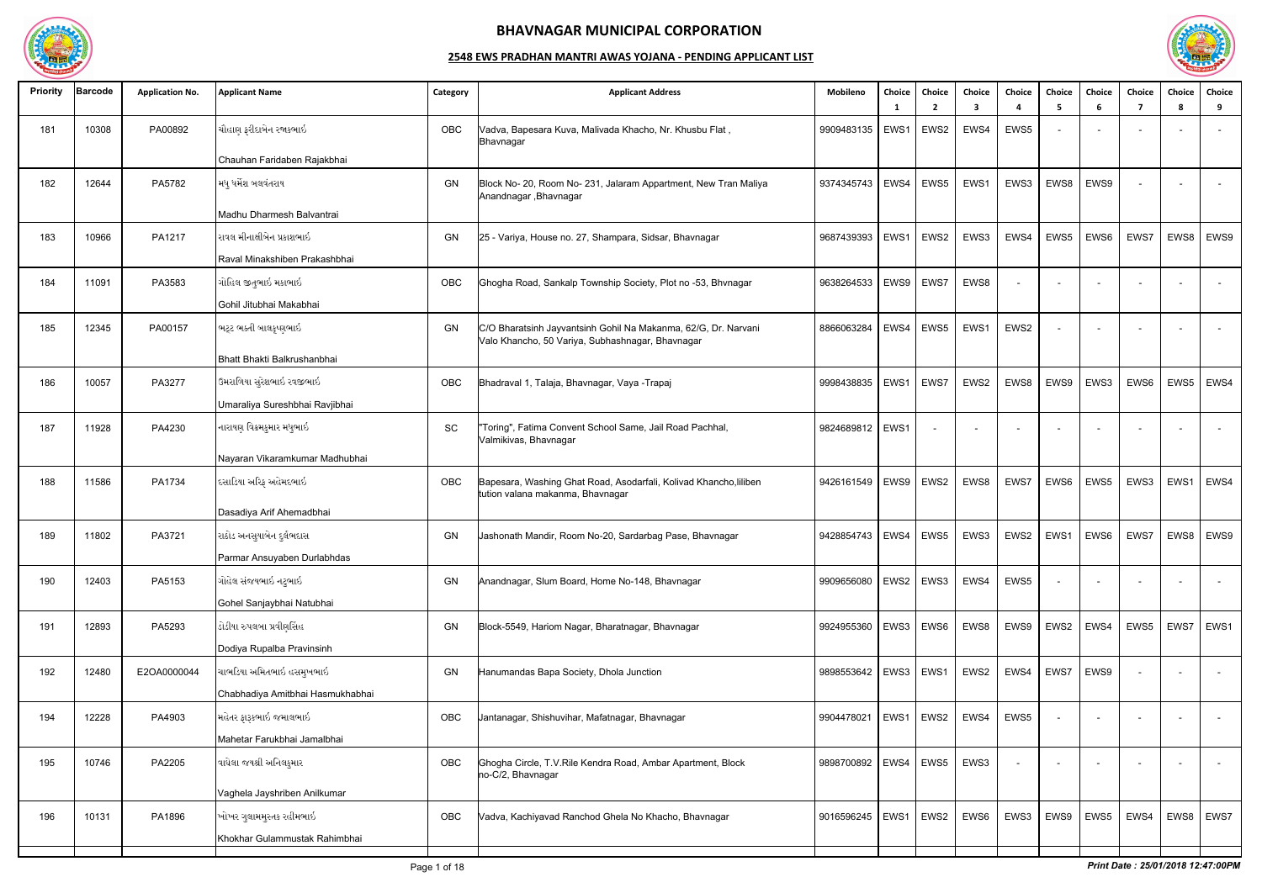

| <b>Priority</b> | <b>Barcode</b> | <b>Application No.</b> | <b>Applicant Name</b>            | Category | <b>Applicant Address</b>                                                                                           | Mobileno                 | Choice | Choice<br>$\overline{2}$ | Choice<br>3 | Choice | Choice<br>- 5 | Choice<br>6 | <b>Choice</b><br>-7 | Choice<br>8 | Choice<br>9    |
|-----------------|----------------|------------------------|----------------------------------|----------|--------------------------------------------------------------------------------------------------------------------|--------------------------|--------|--------------------------|-------------|--------|---------------|-------------|---------------------|-------------|----------------|
| 181             | 10308          | PA00892                | ચૌહાણ ફરીદાબેન રજાકભાઇ           | OBC      | Vadva, Bapesara Kuva, Malivada Khacho, Nr. Khusbu Flat,<br>Bhavnagar                                               | 9909483135               | EWS1   | EWS2                     | EWS4        | EWS5   |               |             |                     |             |                |
|                 |                |                        | Chauhan Faridaben Rajakbhai      |          |                                                                                                                    |                          |        |                          |             |        |               |             |                     |             |                |
| 182             | 12644          | PA5782                 | મધુ ધર્મેશ બલવંતરાય              | GN       | Block No- 20, Room No- 231, Jalaram Appartment, New Tran Maliya<br>Anandnagar, Bhavnagar                           | 9374345743               | EWS4   | EWS5                     | EWS1        | EWS3   | EWS8          | EWS9        |                     |             |                |
|                 |                |                        | Madhu Dharmesh Balvantrai        |          |                                                                                                                    |                          |        |                          |             |        |               |             |                     |             |                |
| 183             | 10966          | PA1217                 | રાવલ મીનાક્ષીબેન પ્રકાશભાઇ       | GN       | 25 - Variya, House no. 27, Shampara, Sidsar, Bhavnagar                                                             | 9687439393               | EWS1   | EWS2                     | EWS3        | EWS4   | EWS5          | EWS6        | EWS7                | EWS8        | EWS9           |
|                 |                |                        | Raval Minakshiben Prakashbhai    |          |                                                                                                                    |                          |        |                          |             |        |               |             |                     |             |                |
| 184             | 11091          | PA3583                 | ગોહિલ જીતુભાઇ મકાભાઇ             | OBC      | Ghogha Road, Sankalp Township Society, Plot no -53, Bhvnagar                                                       | 9638264533               | EWS9   | EWS7                     | EWS8        |        |               |             |                     |             |                |
|                 |                |                        | Gohil Jitubhai Makabhai          |          |                                                                                                                    |                          |        |                          |             |        |               |             |                     |             |                |
| 185             | 12345          | PA00157                | ભટ્ટ ભક્તી બાલકૃષ્ણભાઇ           | GN       | C/O Bharatsinh Jayvantsinh Gohil Na Makanma, 62/G, Dr. Narvani<br>Valo Khancho, 50 Variya, Subhashnagar, Bhavnagar | 8866063284               | EWS4   | EWS5                     | EWS1        | EWS2   |               |             |                     |             |                |
|                 |                |                        | Bhatt Bhakti Balkrushanbhai      |          |                                                                                                                    |                          |        |                          |             |        |               |             |                     |             |                |
| 186             | 10057          | PA3277                 | ઉમરાળિયા સુરેશભાઇ રવજીભાઇ        | OBC      | Bhadraval 1, Talaja, Bhavnagar, Vaya - Trapaj                                                                      | 9998438835               | EWS1   | EWS7                     | EWS2        | EWS8   | EWS9          | EWS3        | EWS6                | EWS5        | EWS4           |
|                 |                |                        | Umaraliya Sureshbhai Ravjibhai   |          |                                                                                                                    |                          |        |                          |             |        |               |             |                     |             |                |
| 187             | 11928          | PA4230                 | નારાયણ વિક્રમકુમાર મધુભાઇ        | SC       | 'Toring", Fatima Convent School Same, Jail Road Pachhal,<br>/almikivas, Bhavnagar                                  | 9824689812               | EWS1   |                          |             |        |               |             |                     |             |                |
|                 |                |                        | Nayaran Vikaramkumar Madhubhai   |          |                                                                                                                    |                          |        |                          |             |        |               |             |                     |             |                |
| 188             | 11586          | PA1734                 | દસાડિયા અરિફ અહેમદભાઇ            | OBC      | Bapesara, Washing Ghat Road, Asodarfali, Kolivad Khancho, liliben<br>tution valana makanma, Bhavnagar              | 9426161549               | EWS9   | EWS2                     | EWS8        | EWS7   | EWS6          | EWS5        | EWS3                | EWS1        | EWS4           |
|                 |                |                        | Dasadiya Arif Ahemadbhai         |          |                                                                                                                    |                          |        |                          |             |        |               |             |                     |             |                |
| 189             | 11802          | PA3721                 | રાઠોડ અનસુયાબેન દુર્લભદાસ        | GN       | Jashonath Mandir, Room No-20, Sardarbag Pase, Bhavnagar                                                            | 9428854743               | EWS4   | EWS5                     | EWS3        | EWS2   | EWS1          | EWS6        | EWS7                | EWS8        | EWS9           |
|                 |                |                        | Parmar Ansuyaben Durlabhdas      |          |                                                                                                                    |                          |        |                          |             |        |               |             |                     |             |                |
| 190             | 12403          | PA5153                 | ગોહેલ સંજયભાઇ નટુભાઇ             | GN       | Anandnagar, Slum Board, Home No-148, Bhavnagar                                                                     | 9909656080               |        | EWS2   EWS3              | EWS4        | EWS5   |               |             |                     |             |                |
|                 |                |                        | Gohel Sanjaybhai Natubhai        |          |                                                                                                                    |                          |        |                          |             |        |               |             |                     |             |                |
| 191             | 12893          | PA5293                 | ડોડીયા રુપલબા પ્રવીણસિંહ         | GN       | Block-5549, Hariom Nagar, Bharatnagar, Bhavnagar                                                                   | 9924955360               | EWS3   | EWS6                     | EWS8        | EWS9   | EWS2          | EWS4        | EWS5                | EWS7        | EWS1           |
|                 |                |                        | Dodiya Rupalba Pravinsinh        |          |                                                                                                                    |                          |        |                          |             |        |               |             |                     |             |                |
| 192             | 12480          | E2OA0000044            | ચાભડિયા અમિતભાઇ હસમુખભાઇ         | GN       | Hanumandas Bapa Society, Dhola Junction                                                                            | 9898553642               |        | EWS3   EWS1              | EWS2        | EWS4   | EWS7          | EWS9        |                     |             | $\overline{a}$ |
|                 |                |                        | Chabhadiya Amitbhai Hasmukhabhai |          |                                                                                                                    |                          |        |                          |             |        |               |             |                     |             |                |
| 194             | 12228          | PA4903                 | મહેતર ફારૂકભાઇ જમાલભાઇ           | OBC      | Jantanagar, Shishuvihar, Mafatnagar, Bhavnagar                                                                     | 9904478021               | EWS1   | EWS2                     | EWS4        | EWS5   |               |             |                     |             |                |
|                 |                |                        | Mahetar Farukbhai Jamalbhai      |          |                                                                                                                    |                          |        |                          |             |        |               |             |                     |             |                |
| 195             | 10746          | PA2205                 | વાઘેલા જયશ્રી અનિલકુમાર          | OBC      | Ghogha Circle, T.V.Rile Kendra Road, Ambar Apartment, Block<br>no-C/2, Bhavnagar                                   | 9898700892               | EWS4   | EWS5                     | EWS3        | $\sim$ |               |             |                     |             |                |
|                 |                |                        | Vaghela Jayshriben Anilkumar     |          |                                                                                                                    |                          |        |                          |             |        |               |             |                     |             |                |
| 196             | 10131          | PA1896                 | ખોખર ગુલામમુસ્તક રહીમભાઇ         | OBC      | Vadva, Kachiyavad Ranchod Ghela No Khacho, Bhavnagar                                                               | 9016596245   EWS1   EWS2 |        |                          | EWS6        | EWS3   | EWS9          | EWS5        | EWS4                |             | EWS8   EWS7    |
|                 |                |                        | Khokhar Gulammustak Rahimbhai    |          |                                                                                                                    |                          |        |                          |             |        |               |             |                     |             |                |
|                 |                |                        |                                  |          |                                                                                                                    |                          |        |                          |             |        |               |             |                     |             |                |

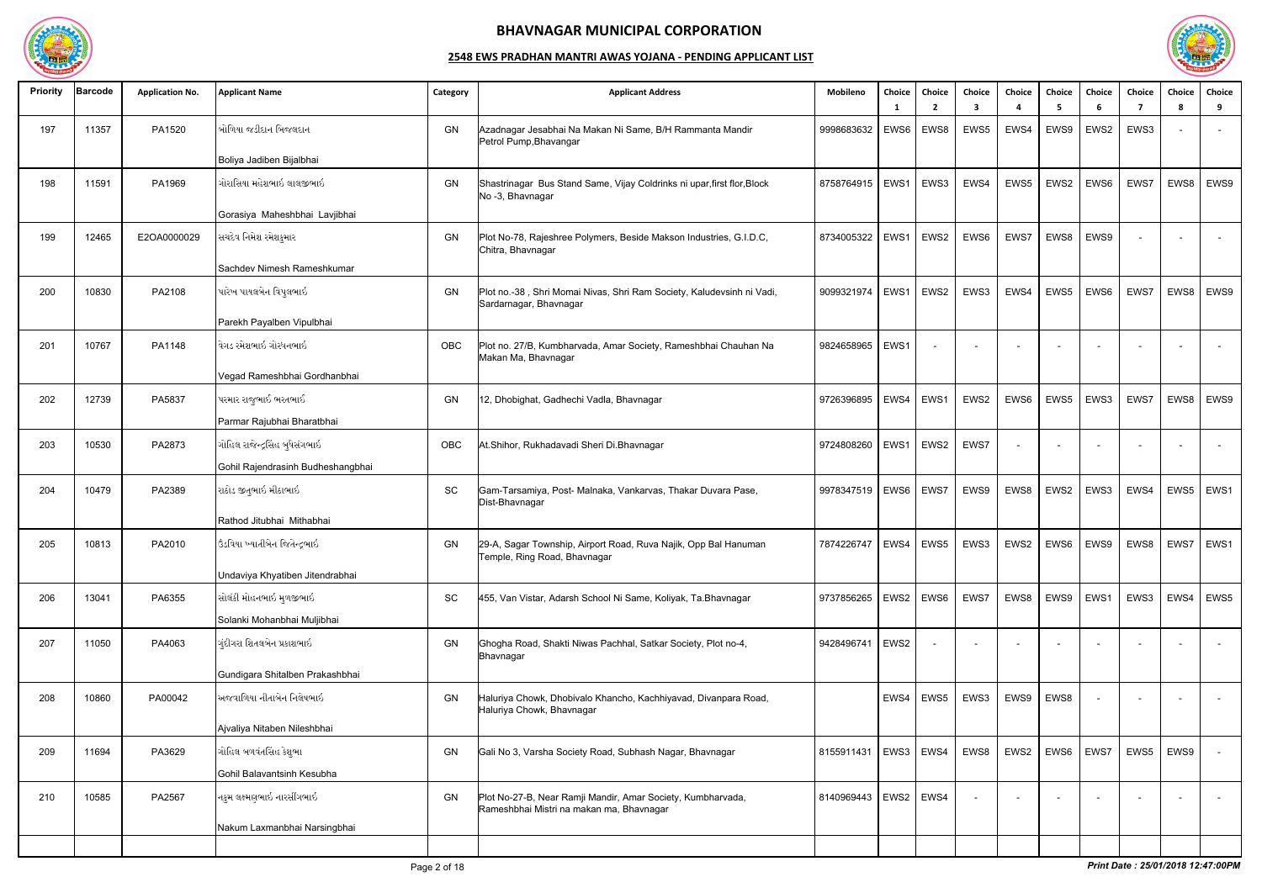

| <b>Priority</b> | Barcode | <b>Application No.</b> | <b>Applicant Name</b>             | Category  | <b>Applicant Address</b>                                                                                | Mobileno   | Choice<br>- 1    | Choice<br>$\overline{2}$ | Choice<br>3 | Choice<br>$\boldsymbol{\Lambda}$ | <b>Choice</b><br>- 5 | Choice<br>-6 | Choice<br>-7 | Choice<br>8 | Choice<br>9              |
|-----------------|---------|------------------------|-----------------------------------|-----------|---------------------------------------------------------------------------------------------------------|------------|------------------|--------------------------|-------------|----------------------------------|----------------------|--------------|--------------|-------------|--------------------------|
| 197             | 11357   | PA1520                 | બોળિયા જડીદાન બિજલદાન             | GN        | Azadnagar Jesabhai Na Makan Ni Same, B/H Rammanta Mandir<br>Petrol Pump, Bhavangar                      | 9998683632 | EWS6             | EWS8                     | EWS5        | EWS4                             | EWS9                 | EWS2         | EWS3         |             | $\sim$                   |
|                 |         |                        | Boliya Jadiben Bijalbhai          |           |                                                                                                         |            |                  |                          |             |                                  |                      |              |              |             |                          |
| 198             | 11591   | PA1969                 | ગોરાસિયા મહેશભાઇ લાલજીભાઇ         | GN        | Shastrinagar Bus Stand Same, Vijay Coldrinks ni upar, first flor, Block<br>No -3, Bhavnagar             | 8758764915 | EWS1             | EWS3                     | EWS4        | EWS5                             | EWS2                 | EWS6         | EWS7         | EWS8        | EWS9                     |
|                 |         |                        | Gorasiya Maheshbhai Lavjibhai     |           |                                                                                                         |            |                  |                          |             |                                  |                      |              |              |             |                          |
| 199             | 12465   | E2OA0000029            | સચદેવ નિમેશ રમેશકુમાર             | GN        | Plot No-78, Rajeshree Polymers, Beside Makson Industries, G.I.D.C,<br>Chitra, Bhavnagar                 | 8734005322 | EWS1             | EWS2                     | EWS6        | EWS7                             | EWS8                 | EWS9         |              |             |                          |
|                 |         |                        | Sachdev Nimesh Rameshkumar        |           |                                                                                                         |            |                  |                          |             |                                  |                      |              |              |             |                          |
| 200             | 10830   | PA2108                 | પારેખ પાયલબેન વિપુલભાઇ            | <b>GN</b> | Plot no.-38, Shri Momai Nivas, Shri Ram Society, Kaludevsinh ni Vadi,<br>Sardarnagar, Bhavnagar         | 9099321974 | EWS1             | EWS2                     | EWS3        | EWS4                             | EWS5                 | EWS6         | EWS7         | EWS8        | EWS9                     |
|                 |         |                        | Parekh Payalben Vipulbhai         |           |                                                                                                         |            |                  |                          |             |                                  |                      |              |              |             |                          |
| 201             | 10767   | PA1148                 | વેગડ રમેશભાઇ ગોરધનભાઇ             | OBC       | Plot no. 27/B, Kumbharvada, Amar Society, Rameshbhai Chauhan Na<br>Makan Ma, Bhavnagar                  | 9824658965 | EWS1             |                          |             |                                  |                      |              |              |             |                          |
|                 |         |                        | Vegad Rameshbhai Gordhanbhai      |           |                                                                                                         |            |                  |                          |             |                                  |                      |              |              |             |                          |
| 202             | 12739   | PA5837                 | પરમાર રાજુભાઈ ભરતભાઈ              | GN        | 12, Dhobighat, Gadhechi Vadla, Bhavnagar                                                                | 9726396895 | EWS4             | EWS1                     | EWS2        | EWS6                             | EWS5                 | EWS3         | EWS7         | EWS8        | EWS9                     |
|                 |         |                        | Parmar Rajubhai Bharatbhai        |           |                                                                                                         |            |                  |                          |             |                                  |                      |              |              |             |                          |
| 203             | 10530   | PA2873                 | ગોહિલ રાજેન્દ્રસિંહ બુધેસંગભાઇ    | OBC       | At.Shihor, Rukhadavadi Sheri Di.Bhavnagar                                                               | 9724808260 | EWS1             | EWS2                     | EWS7        | $\overline{\phantom{a}}$         |                      |              |              |             | $\sim$                   |
|                 |         |                        | Gohil Rajendrasinh Budheshangbhai |           |                                                                                                         |            |                  |                          |             |                                  |                      |              |              |             |                          |
| 204             | 10479   | PA2389                 | રાઠોડ જીતુભાઇ મીઠાભાઇ             | SC        | Gam-Tarsamiya, Post- Malnaka, Vankarvas, Thakar Duvara Pase,<br>Dist-Bhavnagar                          | 9978347519 | EWS6             | EWS7                     | EWS9        | EWS8                             | EWS2                 | EWS3         | EWS4         | EWS5        | EWS1                     |
|                 |         |                        | Rathod Jitubhai Mithabhai         |           |                                                                                                         |            |                  |                          |             |                                  |                      |              |              |             |                          |
| 205             | 10813   | PA2010                 | ઉંડવિયા ખ્યાતીબેન જિતેન્દ્રભાઇ    | GN        | 29-A, Sagar Township, Airport Road, Ruva Najik, Opp Bal Hanuman<br>l emple, Ring Road, Bhavnagar        | 7874226747 | EWS4             | EWS5                     | EWS3        | EWS2                             | EWS6                 | EWS9         | EWS8   EWS7  |             | EWS1                     |
|                 |         |                        | Undaviya Khyatiben Jitendrabhai   |           |                                                                                                         |            |                  |                          |             |                                  |                      |              |              |             |                          |
| 206             | 13041   | PA6355                 | સોલંકી મોહનભાઇ મુળજીભાઇ           | SC        | 455, Van Vistar, Adarsh School Ni Same, Koliyak, Ta.Bhavnagar                                           | 9737856265 |                  | EWS2   EWS6              | EWS7        | EWS8                             | EWS9                 | EWS1         | EWS3         | EWS4        | EWS5                     |
|                 |         |                        | Solanki Mohanbhai Muljibhai       |           |                                                                                                         |            |                  |                          |             |                                  |                      |              |              |             |                          |
| 207             | 11050   | PA4063                 | ગુંદીગરા શિતલબેન પ્રકાશભાઇ        | GN        | Ghogha Road, Shakti Niwas Pachhal, Satkar Society, Plot no-4,<br>Bhavnagar                              | 9428496741 | EWS <sub>2</sub> |                          |             |                                  |                      |              |              |             | $\overline{\phantom{0}}$ |
|                 |         |                        | Gundigara Shitalben Prakashbhai   |           |                                                                                                         |            |                  |                          |             |                                  |                      |              |              |             |                          |
| 208             | 10860   | PA00042                | અજવાળિયા નીતાબેન નિલેષભાઇ         | GN        | Haluriya Chowk, Dhobivalo Khancho, Kachhiyavad, Divanpara Road,<br>Haluriya Chowk, Bhavnagar            |            |                  | EWS4   EWS5              | EWS3        | EWS9                             | EWS8                 |              |              |             | $\sim$                   |
|                 |         |                        | Ajvaliya Nitaben Nileshbhai       |           |                                                                                                         |            |                  |                          |             |                                  |                      |              |              |             |                          |
| 209             | 11694   | PA3629                 | ગોહિલ બળવંતસિંહ કેશુભા            | GN        | Gali No 3, Varsha Society Road, Subhash Nagar, Bhavnagar                                                | 8155911431 | EWS3 EWS4        |                          | EWS8        | EWS2                             | EWS6                 | EWS7         | EWS5         | EWS9        | $\sim$ $-$               |
|                 |         |                        | Gohil Balavantsinh Kesubha        |           |                                                                                                         |            |                  |                          |             |                                  |                      |              |              |             |                          |
| 210             | 10585   | PA2567                 | નકુમ લક્ષ્મણભાઇ નારસીંગભાઇ        | GN        | Plot No-27-B, Near Ramji Mandir, Amar Society, Kumbharvada,<br>Rameshbhai Mistri na makan ma, Bhavnagar | 8140969443 | EWS2   EWS4      |                          |             |                                  |                      |              |              |             | $\sim$                   |
|                 |         |                        | Nakum Laxmanbhai Narsingbhai      |           |                                                                                                         |            |                  |                          |             |                                  |                      |              |              |             |                          |
|                 |         |                        |                                   |           |                                                                                                         |            |                  |                          |             |                                  |                      |              |              |             |                          |

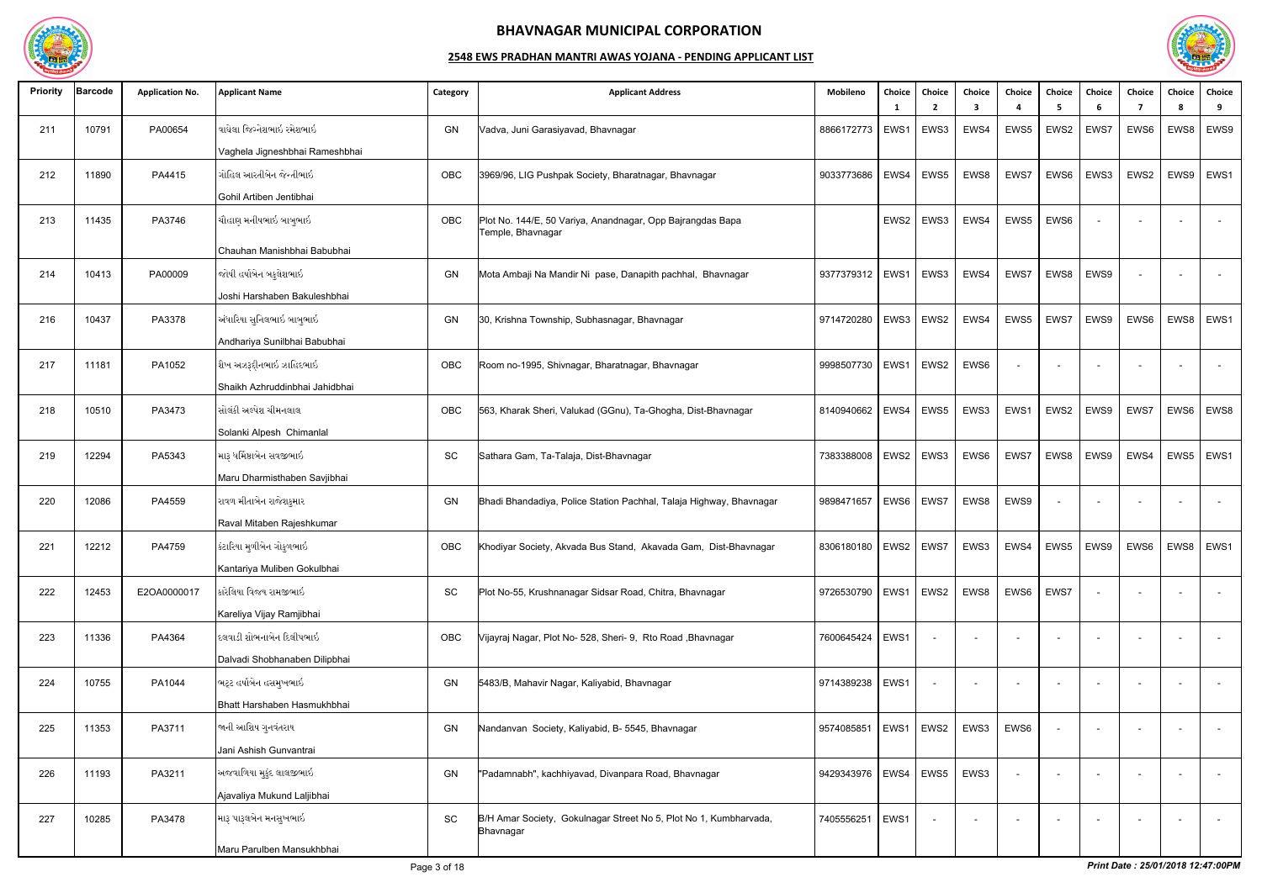

| <b>Priority</b> | Barcode | <b>Application No.</b> | <b>Applicant Name</b>          | Category  | <b>Applicant Address</b>                                                        | Mobileno   | Choice      | Choice<br>$\overline{\phantom{a}}$ | Choice<br>3    | Choice<br>$\boldsymbol{\Lambda}$ | <b>Choice</b><br>5 | Choice<br>-6             | Choice<br>-7   | Choice<br><b>R</b> | Choice<br>9 |
|-----------------|---------|------------------------|--------------------------------|-----------|---------------------------------------------------------------------------------|------------|-------------|------------------------------------|----------------|----------------------------------|--------------------|--------------------------|----------------|--------------------|-------------|
| 211             | 10791   | PA00654                | વાઘેલા જિગ્નેશભાઇ રમેશભાઇ      | GN        | Vadva, Juni Garasiyavad, Bhavnagar                                              | 8866172773 | EWS1        | EWS3                               | EWS4           | EWS5                             | EWS2               | EWS7                     | EWS6           | EWS8               | EWS9        |
|                 |         |                        | Vaghela Jigneshbhai Rameshbhai |           |                                                                                 |            |             |                                    |                |                                  |                    |                          |                |                    |             |
| 212             | 11890   | PA4415                 | ગોહિલ આરતીબેન જેન્તીભાઇ        | OBC       | 3969/96, LIG Pushpak Society, Bharatnagar, Bhavnagar                            | 9033773686 | EWS4        | EWS5                               | EWS8           | EWS7                             | EWS6               | EWS3                     | EWS2           | EWS9               | EWS1        |
|                 |         |                        | Gohil Artiben Jentibhai        |           |                                                                                 |            |             |                                    |                |                                  |                    |                          |                |                    |             |
| 213             | 11435   | PA3746                 | ચૌહાણ મનીષભાઇ બાબુભાઇ          | OBC       | Plot No. 144/E, 50 Variya, Anandnagar, Opp Bajrangdas Bapa<br>Temple, Bhavnagar |            | EWS2        | EWS3                               | EWS4           | EWS5                             | EWS6               |                          |                |                    | $\sim$      |
|                 |         |                        | Chauhan Manishbhai Babubhai    |           |                                                                                 |            |             |                                    |                |                                  |                    |                          |                |                    |             |
| 214             | 10413   | PA00009                | જોષી હર્ષાબેન બકુલેશભાઇ        | GN        | Mota Ambaji Na Mandir Ni pase, Danapith pachhal, Bhavnagar                      | 9377379312 | EWS1        | EWS3                               | EWS4           | EWS7                             | EWS8               | EWS9                     |                |                    | $\sim$      |
|                 |         |                        | Joshi Harshaben Bakuleshbhai   |           |                                                                                 |            |             |                                    |                |                                  |                    |                          |                |                    |             |
| 216             | 10437   | PA3378                 | અંધારિયા સુનિલભાઇ બાબુભાઇ      | GN        | 30, Krishna Township, Subhasnagar, Bhavnagar                                    | 9714720280 | EWS3        | EWS2                               | EWS4           | EWS5                             | EWS7               | EWS9                     | EWS6           | EWS8               | EWS1        |
|                 |         |                        | Andhariya Sunilbhai Babubhai   |           |                                                                                 |            |             |                                    |                |                                  |                    |                          |                |                    |             |
| 217             | 11181   | PA1052                 | શૈખ અઝરૂદ્દીનભાઇ ઝાહિદભાઇ      | OBC       | Room no-1995, Shivnagar, Bharatnagar, Bhavnagar                                 | 9998507730 | EWS1        | EWS2                               | EWS6           | $\overline{\phantom{a}}$         |                    |                          |                |                    |             |
|                 |         |                        | Shaikh Azhruddinbhai Jahidbhai |           |                                                                                 |            |             |                                    |                |                                  |                    |                          |                |                    |             |
| 218             | 10510   | PA3473                 | સોલંકી અલ્પેશ ચીમનલાલ          | OBC       | 563, Kharak Sheri, Valukad (GGnu), Ta-Ghogha, Dist-Bhavnagar                    | 8140940662 | EWS4        | EWS5                               | EWS3           | EWS1                             | EWS2               | EWS9                     | EWS7           | EWS6               | EWS8        |
|                 |         |                        | Solanki Alpesh Chimanlal       |           |                                                                                 |            |             |                                    |                |                                  |                    |                          |                |                    |             |
| 219             | 12294   | PA5343                 | મારૂ ધર્મિષ્ઠાબેન સવજીભાઇ      | SC        | Sathara Gam, Ta-Talaja, Dist-Bhavnagar                                          | 7383388008 | EWS2        | EWS3                               | EWS6           | EWS7                             | EWS8               | EWS9                     | EWS4           | EWS5               | EWS1        |
|                 |         |                        | Maru Dharmisthaben Savjibhai   |           |                                                                                 |            |             |                                    |                |                                  |                    |                          |                |                    |             |
| 220             | 12086   | PA4559                 | રાવળ મીતાબેન રાજેશકુમાર        | GN        | Bhadi Bhandadiya, Police Station Pachhal, Talaja Highway, Bhavnagar             | 9898471657 | EWS6        | EWS7                               | EWS8           | EWS9                             | $\sim$             |                          |                |                    | $\sim$      |
|                 |         |                        | Raval Mitaben Rajeshkumar      |           |                                                                                 |            |             |                                    |                |                                  |                    |                          |                |                    |             |
| 221             | 12212   | PA4759                 | કંટારિયા મુળીબેન ગોકુળભાઇ      | OBC       | Khodiyar Society, Akvada Bus Stand, Akavada Gam, Dist-Bhavnagar                 | 8306180180 | EWS2   EWS7 |                                    | EWS3           | EWS4                             | EWS5               | EWS9                     | EWS6           |                    | EWS8   EWS1 |
|                 |         |                        | Kantariya Muliben Gokulbhai    |           |                                                                                 |            |             |                                    |                |                                  |                    |                          |                |                    |             |
| 222             | 12453   | E2OA0000017            | કારેલિયા વિજય રામજીભાઇ         | SC        | Plot No-55, Krushnanagar Sidsar Road, Chitra, Bhavnagar                         | 9726530790 | EWS1 EWS2   |                                    | EWS8           | EWS6                             | EWS7               | $\overline{\phantom{a}}$ | $\overline{a}$ |                    | $\sim$      |
|                 |         |                        | Kareliya Vijay Ramjibhai       |           |                                                                                 |            |             |                                    |                |                                  |                    |                          |                |                    |             |
| 223             | 11336   | PA4364                 | દલવાડી શોભનાબેન દિલીપભાઇ       | OBC       | Vijayraj Nagar, Plot No- 528, Sheri- 9, Rto Road, Bhavnagar                     | 7600645424 | EWS1        |                                    | $\sim$         |                                  |                    |                          |                |                    | $\sim$      |
|                 |         |                        | Dalvadi Shobhanaben Dilipbhai  |           |                                                                                 |            |             |                                    |                |                                  |                    |                          |                |                    |             |
| 224             | 10755   | PA1044                 | ભટ્ટ હર્ષાબેન હસમુખભાઇ         | GN        | 5483/B, Mahavir Nagar, Kaliyabid, Bhavnagar                                     | 9714389238 | EWS1        |                                    | $\overline{a}$ | $\sim$                           |                    |                          |                |                    | $\sim$      |
|                 |         |                        | Bhatt Harshaben Hasmukhbhai    |           |                                                                                 |            |             |                                    |                |                                  |                    |                          |                |                    |             |
| 225             | 11353   | PA3711                 | જાની આશિષ ગુનવંતરાય            | <b>GN</b> | Nandanvan Society, Kaliyabid, B- 5545, Bhavnagar                                | 9574085851 |             | EWS1   EWS2                        | EWS3           | EWS6                             |                    |                          |                |                    | $\sim$      |
|                 |         |                        | Jani Ashish Gunvantrai         |           |                                                                                 |            |             |                                    |                |                                  |                    |                          |                |                    |             |
| 226             | 11193   | PA3211                 | અજવાળિયા મુકુંદ લાલજીભાઇ       | GN        | "Padamnabh", kachhiyavad, Divanpara Road, Bhavnagar                             | 9429343976 | EWS4        | EWS5                               | EWS3           | $\sim$                           |                    |                          |                |                    | $\sim$      |
|                 |         |                        | Ajavaliya Mukund Laljibhai     |           |                                                                                 |            |             |                                    |                |                                  |                    |                          |                |                    |             |
| 227             | 10285   | PA3478                 | મારૂ પારૂલબેન મનસુખભાઇ         | SC        | B/H Amar Society, Gokulnagar Street No 5, Plot No 1, Kumbharvada,<br>Bhavnagar  | 7405556251 | EWS1        | $\sim$                             | $\overline{a}$ |                                  |                    |                          | $\overline{a}$ |                    | $\sim$      |
|                 |         |                        | Maru Parulben Mansukhbhai      |           |                                                                                 |            |             |                                    |                |                                  |                    |                          |                |                    |             |

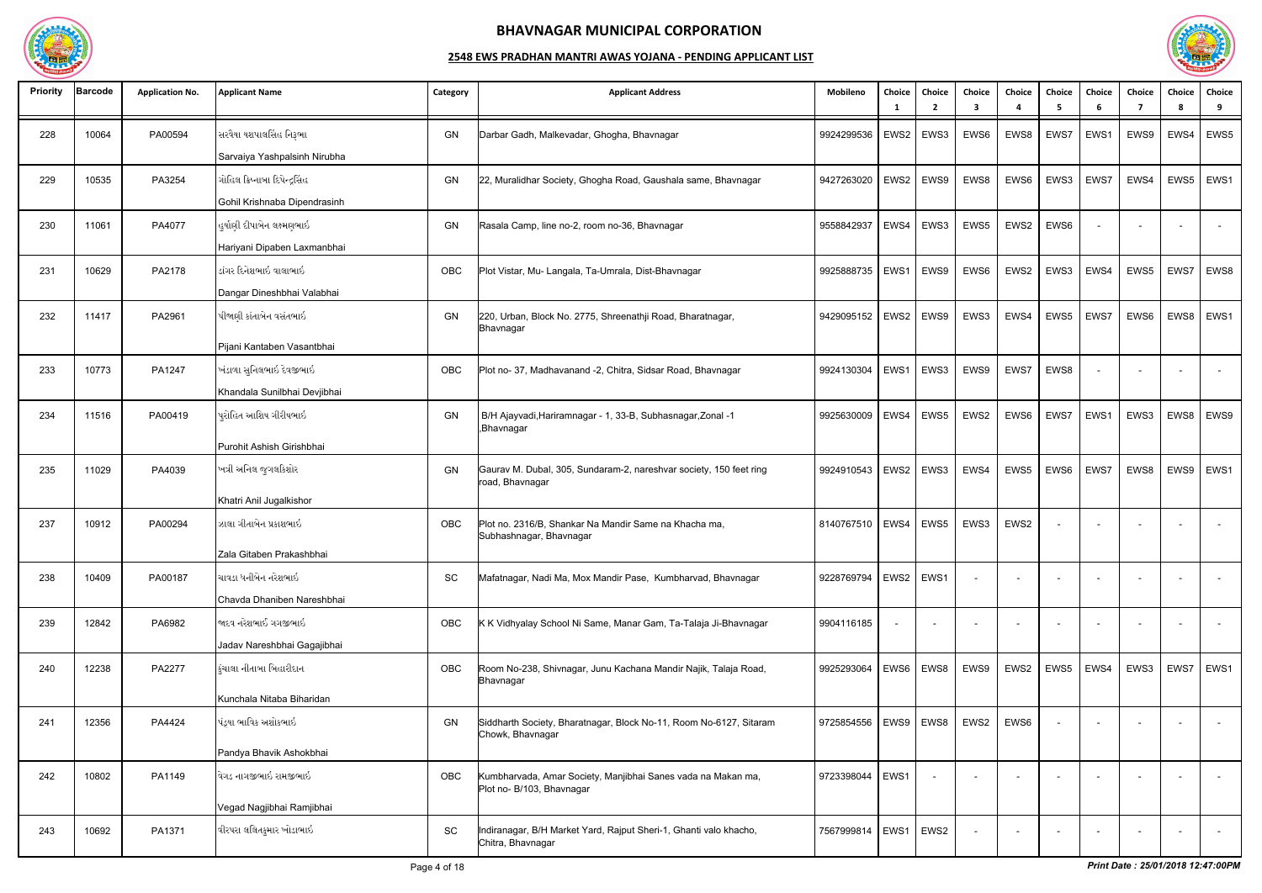

| <b>Priority</b> | <b>Barcode</b> | <b>Application No.</b> | <b>Applicant Name</b>                                                         | Category | <b>Applicant Address</b>                                                                  | Mobileno                 | Choice      | Choice<br>- 2 | Choice<br>3 | Choice                   | Choice<br>-5 | Choice<br>6              | Choice | Choice | Choice<br>9    |
|-----------------|----------------|------------------------|-------------------------------------------------------------------------------|----------|-------------------------------------------------------------------------------------------|--------------------------|-------------|---------------|-------------|--------------------------|--------------|--------------------------|--------|--------|----------------|
| 228             | 10064          | PA00594                | સરવૈયા યશપાલસિંહ નિરૂભા<br>Sarvaiya Yashpalsinh Nirubha                       | GN       | Darbar Gadh, Malkevadar, Ghogha, Bhavnagar                                                | 9924299536               | EWS2        | EWS3          | EWS6        | EWS8                     | EWS7         | EWS1                     | EWS9   | EWS4   | EWS5           |
| 229             | 10535          | PA3254                 | ગોહિલ ક્રિષ્નાબા દિપેન્દ્રસિંહ<br>Gohil Krishnaba Dipendrasinh                | GN       | 22, Muralidhar Society, Ghogha Road, Gaushala same, Bhavnagar                             | 9427263020               |             | EWS2   EWS9   | EWS8        | EWS6                     | EWS3         | EWS7                     | EWS4   | EWS5   | EWS1           |
| 230             | 11061          | PA4077                 | હુર્યાણી દીપાબેન લક્ષ્મણભાઇ<br>Hariyani Dipaben Laxmanbhai                    | GN       | Rasala Camp, line no-2, room no-36, Bhavnagar                                             | 9558842937               | EWS4        | EWS3          | EWS5        | EWS2                     | EWS6         |                          |        |        |                |
| 231             | 10629          | PA2178                 | ડાંગર દિનેશભાઇ વાલાભાઇ<br>Dangar Dineshbhai Valabhai                          | OBC      | Plot Vistar, Mu- Langala, Ta-Umrala, Dist-Bhavnagar                                       | 9925888735               | EWS1        | EWS9          | EWS6        | EWS2                     | EWS3         | EWS4                     | EWS5   | EWS7   | EWS8           |
| 232             | 11417          | PA2961                 | પીજાણી કાંતાબેન વસંતભાઇ<br>Pijani Kantaben Vasantbhai                         | GN       | 220, Urban, Block No. 2775, Shreenathji Road, Bharatnagar,<br>Bhavnagar                   | 9429095152               | EWS2        | EWS9          | EWS3        | EWS4                     | EWS5         | EWS7                     | EWS6   | EWS8   | EWS1           |
| 233             | 10773          | PA1247                 | ખંડાળા સુનિલભાઇ દેવજીભાઇ<br>Khandala Sunilbhai Devjibhai                      | OBC      | Plot no-37, Madhavanand -2, Chitra, Sidsar Road, Bhavnagar                                | 9924130304               | EWS1        | EWS3          | EWS9        | EWS7                     | EWS8         |                          |        |        | $\sim$         |
| 234             | 11516          | PA00419                | પુરોહિત આશિષ ગીરીષભાઇ                                                         | GN       | B/H Ajayvadi, Hariramnagar - 1, 33-B, Subhasnagar, Zonal -1<br>,Bhavnagar                 | 9925630009               | EWS4        | EWS5          | EWS2        | EWS6                     | EWS7         | EWS1                     | EWS3   | EWS8   | EWS9           |
| 235             | 11029          | PA4039                 | Purohit Ashish Girishbhai<br>ખત્રી અનિલ જુગલકિશોર                             | GN       | Gaurav M. Dubal, 305, Sundaram-2, nareshvar society, 150 feet ring<br>road, Bhavnagar     | 9924910543               |             | $EWS2$ EWS3   | EWS4        | EWS5                     | EWS6         | EWS7                     | EWS8   | EWS9   | EWS1           |
| 237             | 10912          | PA00294                | Khatri Anil Jugalkishor<br>ઝાલા ગીતાબેન પ્રકાશભાઇ<br>Zala Gitaben Prakashbhai | OBC      | Plot no. 2316/B, Shankar Na Mandir Same na Khacha ma,<br>Subhashnagar, Bhavnagar          | 8140767510               | EWS4        | EWS5          | EWS3        | EWS2                     |              |                          |        |        |                |
| 238             | 10409          | PA00187                | ચાવડા ધનીબેન નરેશભાઇ<br>Chavda Dhaniben Nareshbhai                            | SC       | Mafatnagar, Nadi Ma, Mox Mandir Pase, Kumbharvad, Bhavnagar                               | 9228769794               | EWS2   EWS1 |               |             |                          |              |                          |        |        | $\overline{a}$ |
| 239             | 12842          | PA6982                 | જાદવ નરેશભાઈ ગગજીભાઇ<br>Jadav Nareshbhai Gagajibhai                           | OBC      | K K Vidhyalay School Ni Same, Manar Gam, Ta-Talaja Ji-Bhavnagar                           | 9904116185               |             |               |             | $\overline{\phantom{a}}$ |              |                          |        |        | $\sim$         |
| 240             | 12238          | PA2277                 | કુંચાલા નીતાબા બિહારીદાન                                                      | OBC      | Room No-238, Shivnagar, Junu Kachana Mandir Najik, Talaja Road,<br>Bhavnagar              | 9925293064               |             | EWS6   EWS8   | EWS9        | EWS2                     | EWS5         | EWS4                     | EWS3   | EWS7   | EWS1           |
| 241             | 12356          | PA4424                 | Kunchala Nitaba Biharidan<br>પંડ્યા ભાવિક અશોકભાઇ<br>Pandya Bhavik Ashokbhai  | GN       | Siddharth Society, Bharatnagar, Block No-11, Room No-6127, Sitaram<br>Chowk, Bhavnagar    | 9725854556   EWS9   EWS8 |             |               | EWS2        | EWS6                     |              |                          |        |        | $\sim$         |
| 242             | 10802          | PA1149                 | વેગડ નાગજીભાઇ રામજીભાઇ<br>Vegad Nagjibhai Ramjibhai                           | OBC      | Kumbharvada, Amar Society, Manjibhai Sanes vada na Makan ma,<br>Plot no- B/103, Bhavnagar | 9723398044               | EWS1        | $\sim$        | $\sim$      | $\sim$                   |              | $\overline{\phantom{0}}$ | $\sim$ |        | $\sim$         |
| 243             | 10692          | PA1371                 | વીરપરા લલિતકુમાર ખોડાભાઇ                                                      | SC       | Indiranagar, B/H Market Yard, Rajput Sheri-1, Ghanti valo khacho,<br>Chitra, Bhavnagar    | 7567999814               | EWS1 EWS2   |               |             |                          |              |                          |        |        | $\sim$ $ \sim$ |

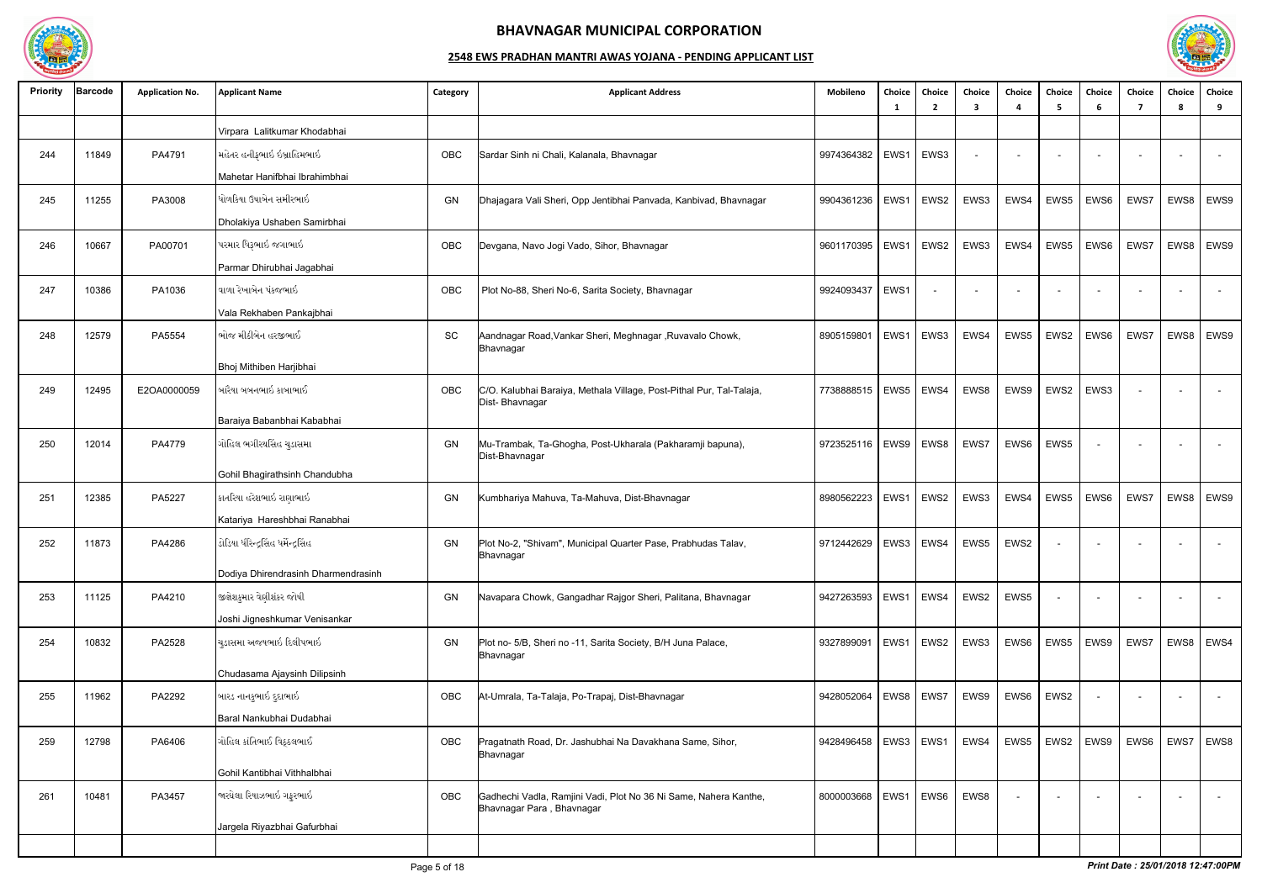

| <b>Priority</b> | <b>Barcode</b> | <b>Application No.</b> | <b>Applicant Name</b>               | Category | <b>Applicant Address</b>                                                                      | Mobileno                 | Choice<br>-1 | Choice<br>$\overline{2}$ | Choice<br>3 | Choice                   | Choice<br>- 5            | Choice<br>6 | Choice<br>-7 | Choice<br>$\mathbf{R}$ | Choice<br>9 |
|-----------------|----------------|------------------------|-------------------------------------|----------|-----------------------------------------------------------------------------------------------|--------------------------|--------------|--------------------------|-------------|--------------------------|--------------------------|-------------|--------------|------------------------|-------------|
|                 |                |                        | Virpara Lalitkumar Khodabhai        |          |                                                                                               |                          |              |                          |             |                          |                          |             |              |                        |             |
| 244             | 11849          | PA4791                 | મહેતર હનીફભાઇ ઇબ્રાહિમભાઇ           | OBC      | Sardar Sinh ni Chali, Kalanala, Bhavnagar                                                     | 9974364382               | EWS1         | EWS3                     |             |                          |                          |             |              |                        |             |
|                 |                |                        | Mahetar Hanifbhai Ibrahimbhai       |          |                                                                                               |                          |              |                          |             |                          |                          |             |              |                        |             |
| 245             | 11255          | PA3008                 | ધોળકિયા ઉષાબેન સમીરભાઇ              | GN       | Dhajagara Vali Sheri, Opp Jentibhai Panvada, Kanbivad, Bhavnagar                              | 9904361236               | EWS1         | EWS2                     | EWS3        | EWS4                     | EWS5                     | EWS6        | EWS7         | EWS8                   | EWS9        |
|                 |                |                        | Dholakiya Ushaben Samirbhai         |          |                                                                                               |                          |              |                          |             |                          |                          |             |              |                        |             |
| 246             | 10667          | PA00701                | પરમાર ધિરૂભાઇ જગાભાઇ                | OBC      | Devgana, Navo Jogi Vado, Sihor, Bhavnagar                                                     | 9601170395               | EWS1         | EWS2                     | EWS3        | EWS4                     | EWS5                     | EWS6        | EWS7         | EWS8                   | EWS9        |
|                 |                |                        | Parmar Dhirubhai Jagabhai           |          |                                                                                               |                          |              |                          |             |                          |                          |             |              |                        |             |
| 247             | 10386          | PA1036                 | વાળા રેખાબેન પંકજભાઇ                | OBC      | Plot No-88, Sheri No-6, Sarita Society, Bhavnagar                                             | 9924093437               | EWS1         |                          |             | $\overline{\phantom{a}}$ | $\overline{\phantom{a}}$ |             |              |                        |             |
|                 |                |                        | Vala Rekhaben Pankajbhai            |          |                                                                                               |                          |              |                          |             |                          |                          |             |              |                        |             |
| 248             | 12579          | PA5554                 | ભોજ મીઠીબેન હરજીભાઈ                 | SC       | Aandnagar Road, Vankar Sheri, Meghnagar , Ruvavalo Chowk,<br>Bhavnagar                        | 890515980                | EWS1         | EWS3                     | EWS4        | EWS5                     | EWS2                     | EWS6        | EWS7         | EWS8                   | EWS9        |
|                 |                |                        | Bhoj Mithiben Harjibhai             |          |                                                                                               |                          |              |                          |             |                          |                          |             |              |                        |             |
| 249             | 12495          | E2OA0000059            | બારૈયા બબનભાઇ કાબાભાઈ               | OBC      | C/O. Kalubhai Baraiya, Methala Village, Post-Pithal Pur, Tal-Talaja,<br>Dist-Bhavnagar        | 7738888515               |              | EWS5   EWS4              | EWS8        | EWS9                     | EWS2                     | EWS3        |              |                        |             |
|                 |                |                        | Baraiya Babanbhai Kababhai          |          |                                                                                               |                          |              |                          |             |                          |                          |             |              |                        |             |
| 250             | 12014          | PA4779                 | ગોહિલ ભગીરથસિંહ ચુડાસમા             | GN       | Mu-Trambak, Ta-Ghogha, Post-Ukharala (Pakharamji bapuna),<br>Dist-Bhavnagar                   | 9723525116               | EWS9         | EWS8                     | EWS7        | EWS6                     | EWS5                     |             |              |                        |             |
|                 |                |                        | Gohil Bhagirathsinh Chandubha       |          |                                                                                               |                          |              |                          |             |                          |                          |             |              |                        |             |
| 251             | 12385          | PA5227                 | કાતરિયા હરેશભાઇ રાણાભાઇ             | GN       | Kumbhariya Mahuva, Ta-Mahuva, Dist-Bhavnagar                                                  | 8980562223               | EWS1         | EWS2                     | EWS3        | EWS4                     | EWS5                     | EWS6        | EWS7         | EWS8                   | EWS9        |
|                 |                |                        | Katariya Hareshbhai Ranabhai        |          |                                                                                               |                          |              |                          |             |                          |                          |             |              |                        |             |
| 252             | 11873          | PA4286                 | ડોડિયા ધીરેન્દ્રસિંહ ધર્મેન્દ્રસિંહ | GN       | Plot No-2, "Shivam", Municipal Quarter Pase, Prabhudas Talav,<br><b>p</b> onavnagar           | 9712442629               | EWS3         | EWS4                     | EWS5        | EWS2                     |                          |             |              |                        |             |
|                 |                |                        | Dodiya Dhirendrasinh Dharmendrasinh |          |                                                                                               |                          |              |                          |             |                          |                          |             |              |                        |             |
| 253             | 11125          | PA4210                 | જીજ્ઞેશકુમાર વેણીશંકર જોષી          | GN       | Navapara Chowk, Gangadhar Rajgor Sheri, Palitana, Bhavnagar                                   | 9427263593               | EWS1         | $\vert$ EWS4             | EWS2        | EWS5                     | $\overline{\phantom{a}}$ |             |              |                        | $\sim$      |
|                 |                |                        | Joshi Jigneshkumar Venisankar       |          |                                                                                               |                          |              |                          |             |                          |                          |             |              |                        |             |
| 254             | 10832          | PA2528                 | ચુડાસમા અજયભાઇ દિલીપભાઇ             | GN       | Plot no- 5/B, Sheri no -11, Sarita Society, B/H Juna Palace,<br>Bhavnagar                     | 9327899091               | EWS1         | EWS2                     | EWS3        | EWS6                     | EWS5                     | EWS9        | EWS7         | EWS8                   | EWS4        |
|                 |                |                        | Chudasama Ajaysinh Dilipsinh        |          |                                                                                               |                          |              |                          |             |                          |                          |             |              |                        |             |
| 255             | 11962          | PA2292                 | બારડ નાનકુભાઇ દુદાભાઇ               | OBC      | At-Umrala, Ta-Talaja, Po-Trapaj, Dist-Bhavnagar                                               | 9428052064               |              | EWS8   EWS7              | EWS9        | EWS6                     | EWS2                     |             |              |                        | $\sim$      |
|                 |                |                        | Baral Nankubhai Dudabhai            |          |                                                                                               |                          |              |                          |             |                          |                          |             |              |                        |             |
| 259             | 12798          | PA6406                 | ગોહિલ કાંતિભાઈ વિઠ્ઠલભાઈ            | OBC      | Pragatnath Road, Dr. Jashubhai Na Davakhana Same, Sihor,<br>Bhavnagar                         | 9428496458               |              | EWS3   EWS1              | EWS4        | EWS5                     | EWS2                     | EWS9        | EWS6         | EWS7                   | EWS8        |
|                 |                |                        | Gohil Kantibhai Vithhalbhai         |          |                                                                                               |                          |              |                          |             |                          |                          |             |              |                        |             |
| 261             | 10481          | PA3457                 | જારઘેલા રિયાઝભાઇ ગફરભાઇ             | OBC      | Gadhechi Vadla, Ramjini Vadi, Plot No 36 Ni Same, Nahera Kanthe,<br>Bhavnagar Para, Bhavnagar | 8000003668   EWS1   EWS6 |              |                          | EWS8        | $\blacksquare$           |                          |             |              |                        |             |
|                 |                |                        | Jargela Riyazbhai Gafurbhai         |          |                                                                                               |                          |              |                          |             |                          |                          |             |              |                        |             |
|                 |                |                        |                                     |          |                                                                                               |                          |              |                          |             |                          |                          |             |              |                        |             |

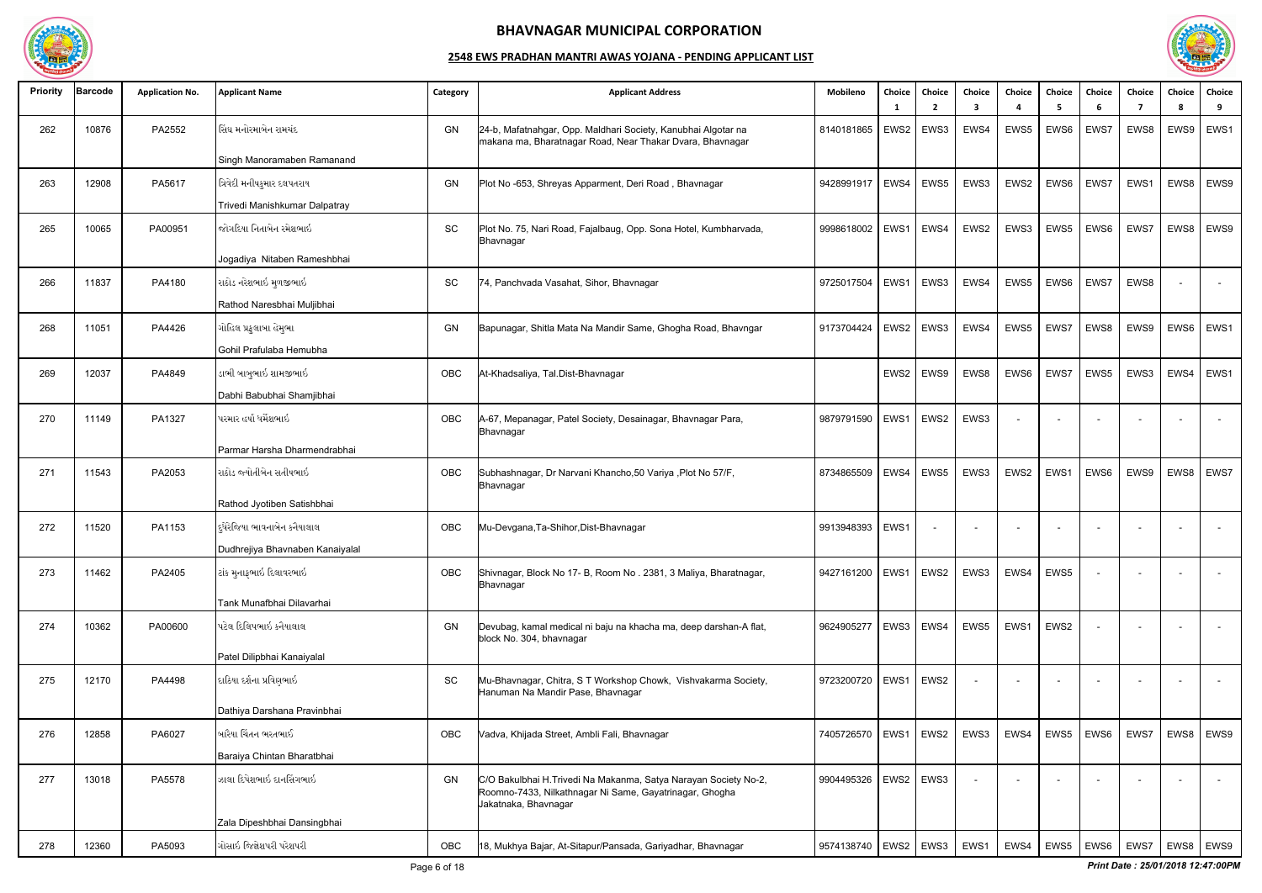

| 6<br>$\overline{2}$<br>- 1<br>-3<br>4<br>- 5<br>સિંઘ મનોરમાબેન રામચંદ<br>GN<br>EWS <sub>2</sub><br>EWS5<br>EWS6<br>EWS7<br>262<br>10876<br>PA2552<br>24-b, Mafatnahgar, Opp. Maldhari Society, Kanubhai Algotar na<br>8140181865<br>EWS3<br>EWS4<br>makana ma, Bharatnagar Road, Near Thakar Dvara, Bhavnagar<br>Singh Manoramaben Ramanand<br>ત્રિવેદી મનીષકુમાર દલપતરાય<br>12908<br>PA5617<br>GN<br>EWS4<br>EWS5<br>EWS3<br>EWS2<br>EWS6<br>EWS7<br>263<br>Plot No -653, Shreyas Apparment, Deri Road, Bhavnagar<br>9428991917<br>Trivedi Manishkumar Dalpatray<br>જોગદિયા નિતાબેન રમેશભાઇ<br>PA00951<br>SC<br>Plot No. 75, Nari Road, Fajalbaug, Opp. Sona Hotel, Kumbharvada,<br>EWS4<br>EWS2<br>EWS3<br>EWS5<br>EWS6<br>265<br>10065<br>9998618002<br>EWS1<br>Bhavnagar | 7<br>EWS8<br>EWS1<br>EWS7<br>EWS8 | - 8<br>9<br>EWS9<br>EWS1<br>EWS8<br>EWS9<br>EWS8<br>EWS9 |
|------------------------------------------------------------------------------------------------------------------------------------------------------------------------------------------------------------------------------------------------------------------------------------------------------------------------------------------------------------------------------------------------------------------------------------------------------------------------------------------------------------------------------------------------------------------------------------------------------------------------------------------------------------------------------------------------------------------------------------------------------------------------------|-----------------------------------|----------------------------------------------------------|
|                                                                                                                                                                                                                                                                                                                                                                                                                                                                                                                                                                                                                                                                                                                                                                              |                                   |                                                          |
|                                                                                                                                                                                                                                                                                                                                                                                                                                                                                                                                                                                                                                                                                                                                                                              |                                   |                                                          |
|                                                                                                                                                                                                                                                                                                                                                                                                                                                                                                                                                                                                                                                                                                                                                                              |                                   |                                                          |
|                                                                                                                                                                                                                                                                                                                                                                                                                                                                                                                                                                                                                                                                                                                                                                              |                                   |                                                          |
|                                                                                                                                                                                                                                                                                                                                                                                                                                                                                                                                                                                                                                                                                                                                                                              |                                   |                                                          |
|                                                                                                                                                                                                                                                                                                                                                                                                                                                                                                                                                                                                                                                                                                                                                                              |                                   |                                                          |
| Jogadiya Nitaben Rameshbhai                                                                                                                                                                                                                                                                                                                                                                                                                                                                                                                                                                                                                                                                                                                                                  |                                   |                                                          |
| રાઠોડ નરેશભાઇ મુળજીભાઇ<br>SC<br>EWS1<br>EWS4<br>EWS5<br>EWS6<br>EWS7<br>266<br>11837<br>PA4180<br>74, Panchvada Vasahat, Sihor, Bhavnagar<br>9725017504<br>EWS3                                                                                                                                                                                                                                                                                                                                                                                                                                                                                                                                                                                                              |                                   |                                                          |
| Rathod Naresbhai Muljibhai                                                                                                                                                                                                                                                                                                                                                                                                                                                                                                                                                                                                                                                                                                                                                   |                                   |                                                          |
| ગોહિલ પ્રફુલાબા હેમુભા<br>PA4426<br>GN<br>EWS2<br>EWS5<br>EWS7<br>268<br>11051<br>9173704424<br>EWS3<br>EWS4<br>EWS8<br>Bapunagar, Shitla Mata Na Mandir Same, Ghogha Road, Bhavngar                                                                                                                                                                                                                                                                                                                                                                                                                                                                                                                                                                                         | EWS9                              | EWS1<br>EWS6                                             |
| Gohil Prafulaba Hemubha                                                                                                                                                                                                                                                                                                                                                                                                                                                                                                                                                                                                                                                                                                                                                      |                                   |                                                          |
| ડાભી બાબુભાઇ શામજીભાઇ<br>12037<br>PA4849<br>OBC<br>EWS2<br>EWS9<br>EWS8<br>EWS6<br>EWS7<br>EWS5<br>269<br>At-Khadsaliya, Tal.Dist-Bhavnagar                                                                                                                                                                                                                                                                                                                                                                                                                                                                                                                                                                                                                                  | EWS3                              | EWS4<br>EWS1                                             |
| Dabhi Babubhai Shamjibhai                                                                                                                                                                                                                                                                                                                                                                                                                                                                                                                                                                                                                                                                                                                                                    |                                   |                                                          |
| પરમાર હર્ષા ધર્મેશભાઇ<br>OBC<br>EWS1<br>EWS3<br>PA1327<br>A-67, Mepanagar, Patel Society, Desainagar, Bhavnagar Para,<br>EWS2<br>270<br>11149<br>9879791590<br>$\blacksquare$<br>$\sim$<br>Bhavnagar                                                                                                                                                                                                                                                                                                                                                                                                                                                                                                                                                                         | $\overline{a}$                    |                                                          |
| Parmar Harsha Dharmendrabhai                                                                                                                                                                                                                                                                                                                                                                                                                                                                                                                                                                                                                                                                                                                                                 |                                   |                                                          |
| રાઠોડ જ્યોતીબેન સતીષભાઇ<br>PA2053<br>OBC<br>EWS4<br>EWS5<br>EWS2<br>EWS1<br>EWS6<br>271<br>11543<br>Subhashnagar, Dr Narvani Khancho, 50 Variya, Plot No 57/F,<br>8734865509<br>EWS3<br>Bhavnagar                                                                                                                                                                                                                                                                                                                                                                                                                                                                                                                                                                            | EWS9                              | EWS8<br>EWS7                                             |
| Rathod Jyotiben Satishbhai                                                                                                                                                                                                                                                                                                                                                                                                                                                                                                                                                                                                                                                                                                                                                   |                                   |                                                          |
| દ્ધેરેજિયા ભાવનાબેન કનૈયાલાલ<br>11520<br>OBC<br>EWS1<br>272<br>PA1153<br>Mu-Devgana,Ta-Shihor,Dist-Bhavnagar<br>9913948393<br>$\sim$<br>$\overline{\phantom{a}}$<br>$\overline{\phantom{a}}$<br>$\overline{\phantom{0}}$<br>$\overline{\phantom{a}}$                                                                                                                                                                                                                                                                                                                                                                                                                                                                                                                         | $\sim$                            | $\sim$                                                   |
| Dudhrejiya Bhavnaben Kanaiyalal                                                                                                                                                                                                                                                                                                                                                                                                                                                                                                                                                                                                                                                                                                                                              |                                   |                                                          |
| ટાંક મુનાફભાઇ દિલાવરભાઇ<br>EWS2<br>EWS3<br>EWS4<br>EWS5<br>11462<br>PA2405<br>OBC<br>Shivnagar, Block No 17- B, Room No . 2381, 3 Maliya, Bharatnagar,<br>9427161200<br>EWS1<br>273<br>$\blacksquare$<br>Bhavnagar                                                                                                                                                                                                                                                                                                                                                                                                                                                                                                                                                           | $\overline{\phantom{a}}$          | $\overline{\phantom{a}}$                                 |
| Tank Munafbhai Dilavarhai                                                                                                                                                                                                                                                                                                                                                                                                                                                                                                                                                                                                                                                                                                                                                    |                                   |                                                          |
| પટેલ દિલિપભાઇ કનૈયાલાલ<br>10362<br>PA00600<br>GN<br>EWS3   EWS4<br>EWS5<br>EWS1<br>EWS2<br>274<br>9624905277<br>Devubag, kamal medical ni baju na khacha ma, deep darshan-A flat,<br>block No. 304, bhavnagar                                                                                                                                                                                                                                                                                                                                                                                                                                                                                                                                                                |                                   |                                                          |
| Patel Dilipbhai Kanaiyalal                                                                                                                                                                                                                                                                                                                                                                                                                                                                                                                                                                                                                                                                                                                                                   |                                   |                                                          |
| દાઠિયા દર્શના પ્રવિણભાઇ<br>EWS1<br>EWS2<br>275<br>12170<br>PA4498<br><b>SC</b><br>Mu-Bhavnagar, Chitra, S T Workshop Chowk, Vishvakarma Society,<br>9723200720<br>$\sim$<br>Hanuman Na Mandir Pase, Bhavnagar                                                                                                                                                                                                                                                                                                                                                                                                                                                                                                                                                                | $\overline{\phantom{0}}$          | $\sim$                                                   |
| Dathiya Darshana Pravinbhai                                                                                                                                                                                                                                                                                                                                                                                                                                                                                                                                                                                                                                                                                                                                                  |                                   |                                                          |
| બારૈયા ચિંતન ભરતભાઈ<br>12858<br>PA6027<br> EWS1<br>EWS <sub>2</sub><br>EWS3<br>EWS4<br>EWS <sub>6</sub><br>276<br>OBC<br>Vadva, Khijada Street, Ambli Fali, Bhavnagar<br>7405726570<br>EWS5                                                                                                                                                                                                                                                                                                                                                                                                                                                                                                                                                                                  | EWS7                              | EWS8   EWS9                                              |
| Baraiya Chintan Bharatbhai                                                                                                                                                                                                                                                                                                                                                                                                                                                                                                                                                                                                                                                                                                                                                   |                                   |                                                          |
| PA5578<br>ઝાલા દિપેશભાઇ દાનસિંગભાઇ<br>277<br>EWS2<br>EWS3<br>13018<br>GN<br>C/O Bakulbhai H. Trivedi Na Makanma, Satya Narayan Society No-2,<br>9904495326<br>Roomno-7433, Nilkathnagar Ni Same, Gayatrinagar, Ghogha<br>Jakatnaka, Bhavnagar                                                                                                                                                                                                                                                                                                                                                                                                                                                                                                                                |                                   |                                                          |
| Zala Dipeshbhai Dansingbhai                                                                                                                                                                                                                                                                                                                                                                                                                                                                                                                                                                                                                                                                                                                                                  |                                   |                                                          |
| ગોસાઇ જિજ્ઞેશપરી પરેશપરી<br>EWS1<br>EWS4<br>12360<br>PA5093<br>OBC<br>18, Mukhya Bajar, At-Sitapur/Pansada, Gariyadhar, Bhavnagar<br>  EWS2   EWS3  <br>EWS5<br>EWS6<br>278<br>9574138740                                                                                                                                                                                                                                                                                                                                                                                                                                                                                                                                                                                    | EWS7                              | EWS8   EWS9                                              |

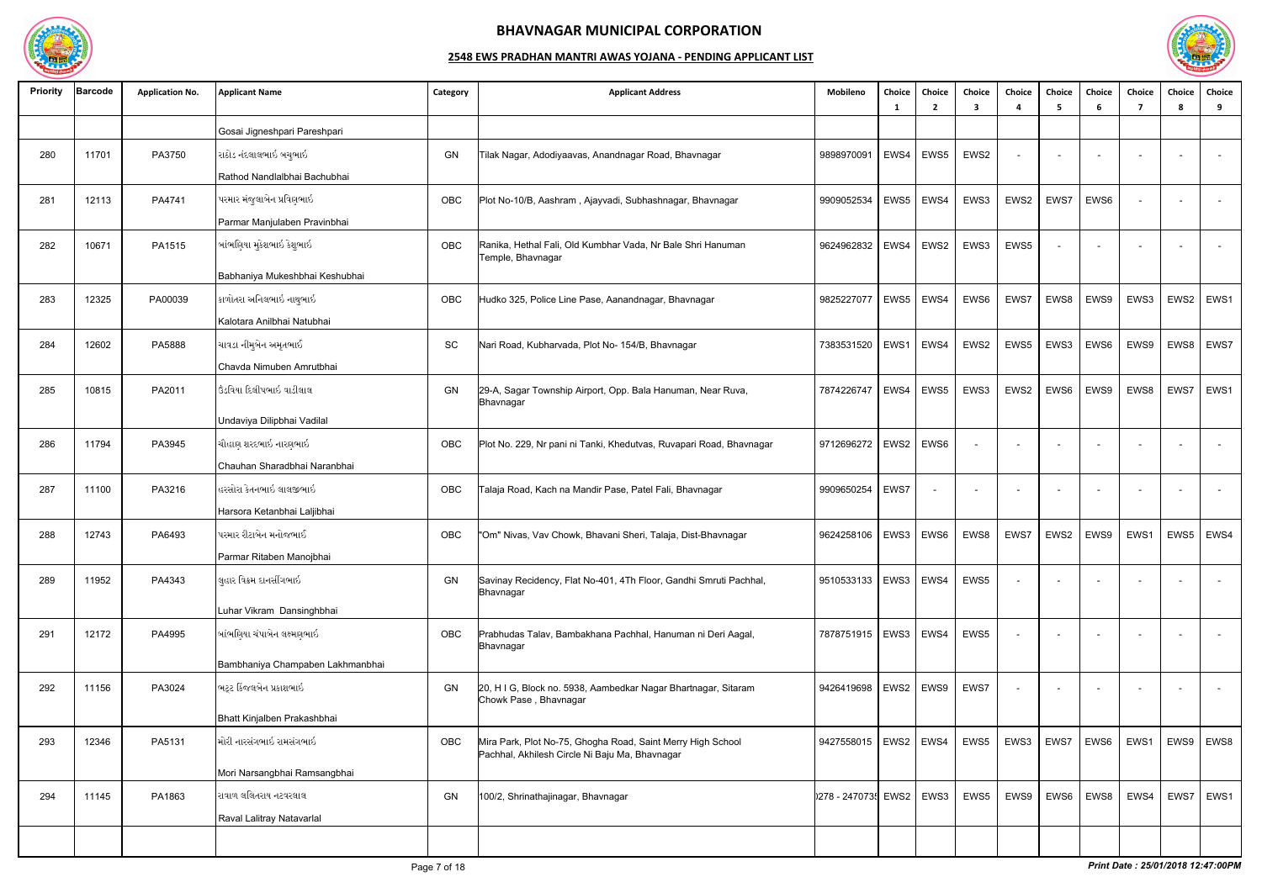

| <b>Priority</b> | <b>Barcode</b> | <b>Application No.</b> | <b>Applicant Name</b>            | Category  | <b>Applicant Address</b>                                                                                      | Mobileno                 | Choice<br>- 1 | Choice<br>2 | Choice<br>3              | Choice                   | Choice<br>-5             | Choice<br>-6             | Choice<br>7              | Choice<br>-8 | Choice<br>9 |
|-----------------|----------------|------------------------|----------------------------------|-----------|---------------------------------------------------------------------------------------------------------------|--------------------------|---------------|-------------|--------------------------|--------------------------|--------------------------|--------------------------|--------------------------|--------------|-------------|
|                 |                |                        | Gosai Jigneshpari Pareshpari     |           |                                                                                                               |                          |               |             |                          |                          |                          |                          |                          |              |             |
| 280             | 11701          | PA3750                 | રાઠોડ નંદલાલભાઇ બચુભાઇ           | GN        | Tilak Nagar, Adodiyaavas, Anandnagar Road, Bhavnagar                                                          | 9898970091               | EWS4          | EWS5        | EWS2                     | $\sim$                   | $\overline{\phantom{a}}$ |                          |                          |              | $\sim$      |
|                 |                |                        | Rathod Nandlalbhai Bachubhai     |           |                                                                                                               |                          |               |             |                          |                          |                          |                          |                          |              |             |
| 281             | 12113          | PA4741                 | પરમાર મંજુલાબેન પ્રવિણભાઇ        | OBC       | Plot No-10/B, Aashram, Ajayvadi, Subhashnagar, Bhavnagar                                                      | 9909052534               |               | $EWS5$ EWS4 | EWS3                     | EWS2                     | EWS7                     | EWS6                     |                          |              |             |
|                 |                |                        | Parmar Manjulaben Pravinbhai     |           |                                                                                                               |                          |               |             |                          |                          |                          |                          |                          |              |             |
| 282             | 10671          | PA1515                 | બાંભણિયા મુકેશભાઇ કેશુભાઇ        | OBC       | Ranika, Hethal Fali, Old Kumbhar Vada, Nr Bale Shri Hanuman<br>Temple, Bhavnagar                              | 9624962832               | EWS4          | EWS2        | EWS3                     | EWS5                     |                          |                          |                          |              |             |
|                 |                |                        | Babhaniya Mukeshbhai Keshubhai   |           |                                                                                                               |                          |               |             |                          |                          |                          |                          |                          |              |             |
| 283             | 12325          | PA00039                | કાળોતરા અનિલભાઇ નાથુભાઇ          | OBC       | Hudko 325, Police Line Pase, Aanandnagar, Bhavnagar                                                           | 9825227077               | EWS5          | EWS4        | EWS6                     | EWS7                     | EWS8                     | EWS9                     | EWS3                     | EWS2         | EWS1        |
|                 |                |                        | Kalotara Anilbhai Natubhai       |           |                                                                                                               |                          |               |             |                          |                          |                          |                          |                          |              |             |
| 284             | 12602          | PA5888                 | ચાવડા નીમુબેન અમૃતભાઈ            | <b>SC</b> | Nari Road, Kubharvada, Plot No- 154/B, Bhavnagar                                                              | 7383531520               | EWS1          | EWS4        | EWS2                     | EWS5                     | EWS3                     | EWS6                     | EWS9                     | EWS8         | EWS7        |
|                 |                |                        | Chavda Nimuben Amrutbhai         |           |                                                                                                               |                          |               |             |                          |                          |                          |                          |                          |              |             |
| 285             | 10815          | PA2011                 | ઉંડવિયા દિલીપભાઇ વાડીલાલ         | GN        | 29-A, Sagar Township Airport, Opp. Bala Hanuman, Near Ruva,<br>Bhavnagar                                      | 7874226747               | EWS4          | EWS5        | EWS3                     | EWS2                     | EWS6                     | EWS9                     | EWS8                     | EWS7         | EWS1        |
|                 |                |                        | Undaviya Dilipbhai Vadilal       |           |                                                                                                               |                          |               |             |                          |                          |                          |                          |                          |              |             |
| 286             | 11794          | PA3945                 | ચૌહાણ શરદભાઇ નારણભાઇ             | OBC       | Plot No. 229, Nr pani ni Tanki, Khedutvas, Ruvapari Road, Bhavnagar                                           | 9712696272               |               | EWS2   EWS6 |                          | $\overline{\phantom{a}}$ |                          |                          |                          |              | $\sim$      |
|                 |                |                        | Chauhan Sharadbhai Naranbhai     |           |                                                                                                               |                          |               |             |                          |                          |                          |                          |                          |              |             |
| 287             | 11100          | PA3216                 | હરસોરા કેતનભાઇ લાલજીભાઇ          | OBC       | Falaja Road, Kach na Mandir Pase, Patel Fali, Bhavnagar                                                       | 9909650254               | EWS7          |             | $\overline{\phantom{0}}$ | $\overline{\phantom{a}}$ | $\sim$                   |                          |                          |              | $\sim$      |
|                 |                |                        | Harsora Ketanbhai Laljibhai      |           |                                                                                                               |                          |               |             |                          |                          |                          |                          |                          |              |             |
| 288             | 12743          | PA6493                 | પરમાર રીટાબેન મનોજભાઈ            | OBC       | "Om" Nivas, Vav Chowk, Bhavani Sheri, Talaja, Dist-Bhavnagar                                                  | 9624258106               | EWS3          | EWS6        | EWS8                     | EWS7                     | EWS2                     | EWS9                     | EWS1                     | EWS5         | EWS4        |
|                 |                |                        | Parmar Ritaben Manojbhai         |           |                                                                                                               |                          |               |             |                          |                          |                          |                          |                          |              |             |
| 289             | 11952          | PA4343                 | લુહાર વિક્રમ દાનસીંગભાઇ          | GN        | Savinay Recidency, Flat No-401, 4Th Floor, Gandhi Smruti Pachhal,<br>Bhavnagar                                | 9510533133               | EWS3   EWS4   |             | EWS5                     | $\blacksquare$           | $\overline{\phantom{0}}$ |                          |                          |              | $\sim$      |
|                 |                |                        | Luhar Vikram Dansinghbhai        |           |                                                                                                               |                          |               |             |                          |                          |                          |                          |                          |              |             |
| 291             | 12172          | PA4995                 | બાંભણિયા ચંપાબેન લક્ષ્મણભાઇ      | OBC       | Prabhudas Talav, Bambakhana Pachhal, Hanuman ni Deri Aagal,<br>Bhavnagar                                      | 7878751915   EWS3   EWS4 |               |             | EWS5                     | $\blacksquare$           |                          |                          |                          |              | $\sim$      |
|                 |                |                        | Bambhaniya Champaben Lakhmanbhai |           |                                                                                                               |                          |               |             |                          |                          |                          |                          |                          |              |             |
| 292             | 11156          | PA3024                 | ભટ્ટ કિંજલબેન પ્રકાશભાઇ          | GN        | 20, H I G, Block no. 5938, Aambedkar Nagar Bhartnagar, Sitaram<br>Chowk Pase, Bhavnagar                       | 9426419698               | EWS2 EWS9     |             | EWS7                     | $\sim$                   | $\sim$                   | $\overline{\phantom{0}}$ | $\overline{\phantom{0}}$ |              | $\sim$      |
|                 |                |                        | Bhatt Kinjalben Prakashbhai      |           |                                                                                                               |                          |               |             |                          |                          |                          |                          |                          |              |             |
| 293             | 12346          | PA5131                 | મોરી નારસંગભાઇ રામસંગભાઇ         | OBC       | Mira Park, Plot No-75, Ghogha Road, Saint Merry High School<br>Pachhal, Akhilesh Circle Ni Baju Ma, Bhavnagar | 9427558015               | EWS2 EWS4     |             | EWS5                     | EWS3                     | EWS7                     | EWS <sub>6</sub>         | EWS1                     | EWS9         | EWS8        |
|                 |                |                        | Mori Narsangbhai Ramsangbhai     |           |                                                                                                               |                          |               |             |                          |                          |                          |                          |                          |              |             |
| 294             | 11145          | PA1863                 | રાવાળ લલિતરાય નટવરલાલ            | GN        | 100/2, Shrinathajinagar, Bhavnagar                                                                            | [278 - 247073 EWS2       |               | EWS3        | EWS5                     | EWS9                     | EWS6                     | EWS8                     | EWS4                     | EWS7         | EWS1        |
|                 |                |                        | Raval Lalitray Natavarlal        |           |                                                                                                               |                          |               |             |                          |                          |                          |                          |                          |              |             |
|                 |                |                        |                                  |           |                                                                                                               |                          |               |             |                          |                          |                          |                          |                          |              |             |

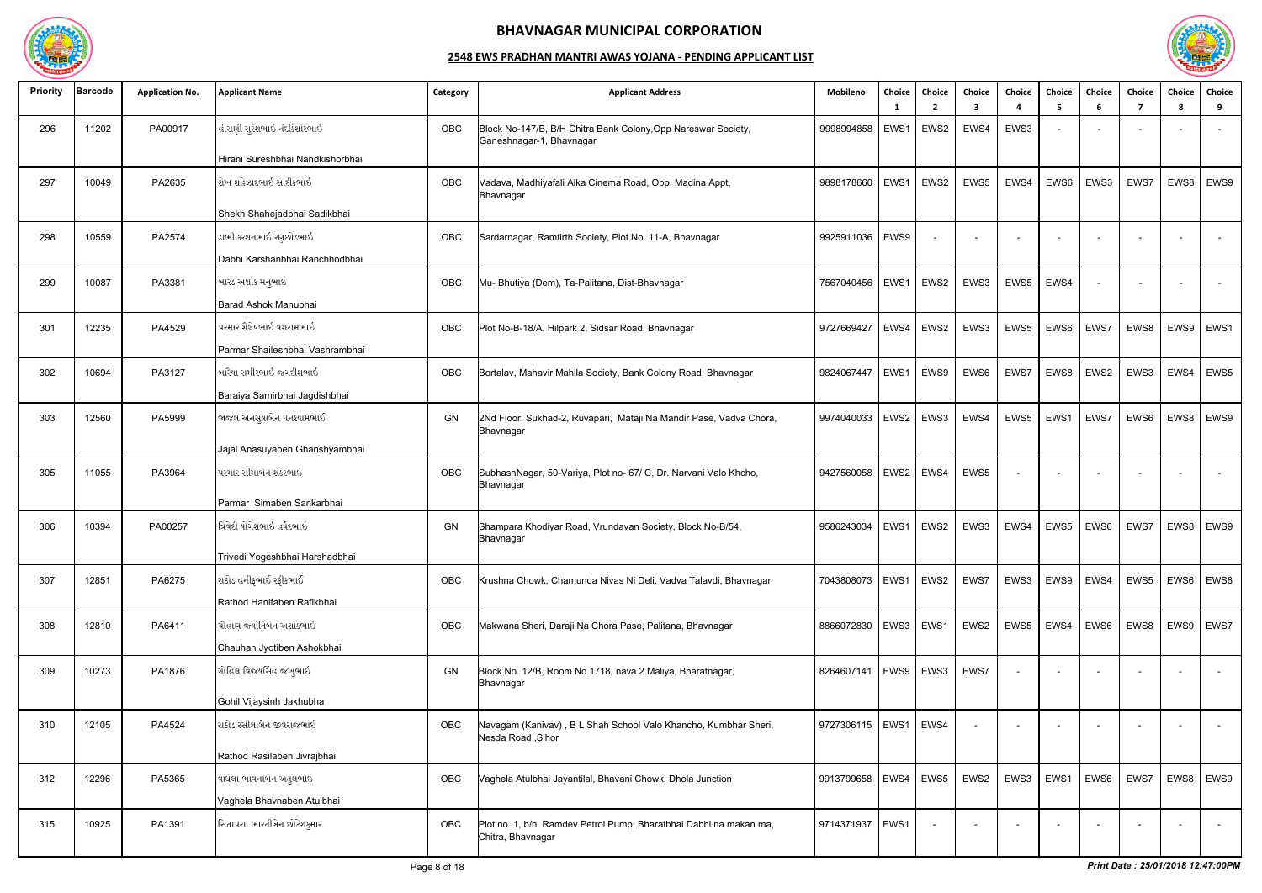

| <b>Priority</b> | <b>Barcode</b> | <b>Application No.</b> | <b>Applicant Name</b>            | Category | <b>Applicant Address</b>                                                                  | Mobileno                 | Choice<br>- 1 | <b>Choice</b><br>$\overline{2}$ | Choice<br>3              | Choice<br>$\mathbf{A}$ | Choice<br>-5 | Choice<br>6 | Choice<br>-7 | Choice<br>-8 | Choice<br>9        |
|-----------------|----------------|------------------------|----------------------------------|----------|-------------------------------------------------------------------------------------------|--------------------------|---------------|---------------------------------|--------------------------|------------------------|--------------|-------------|--------------|--------------|--------------------|
| 296             | 11202          | PA00917                | હીરાણી સુરેશભાઇ નંદકિશોરભાઇ      | OBC      | Block No-147/B, B/H Chitra Bank Colony, Opp Nareswar Society,<br>Ganeshnagar-1, Bhavnagar | 9998994858               | EWS1          | EWS2                            | EWS4                     | EWS3                   |              |             |              |              |                    |
|                 |                |                        | Hirani Sureshbhai Nandkishorbhai |          |                                                                                           |                          |               |                                 |                          |                        |              |             |              |              |                    |
| 297             | 10049          | PA2635                 | શેખ શહેઝાદભાઇ સાદીકભાઇ           | OBC      | Vadava, Madhiyafali Alka Cinema Road, Opp. Madina Appt,<br>Bhavnagar                      | 9898178660               | EWS1          | EWS2                            | EWS5                     | EWS4                   | EWS6         | EWS3        | EWS7         | EWS8         | EWS9               |
|                 |                |                        | Shekh Shahejadbhai Sadikbhai     |          |                                                                                           |                          |               |                                 |                          |                        |              |             |              |              |                    |
| 298             | 10559          | PA2574                 | ડાભી કરશનભાઇ રણછોડભાઇ            | OBC      | Sardarnagar, Ramtirth Society, Plot No. 11-A, Bhavnagar                                   | 9925911036               | EWS9          |                                 |                          |                        |              |             |              |              |                    |
|                 |                |                        | Dabhi Karshanbhai Ranchhodbhai   |          |                                                                                           |                          |               |                                 |                          |                        |              |             |              |              |                    |
| 299             | 10087          | PA3381                 | બારડ અશોક મનુભાઇ                 | OBC      | Mu- Bhutiya (Dem), Ta-Palitana, Dist-Bhavnagar                                            | 7567040456   EWS1        |               | EWS2                            | EWS3                     | EWS5                   | EWS4         |             |              |              |                    |
|                 |                |                        | Barad Ashok Manubhai             |          |                                                                                           |                          |               |                                 |                          |                        |              |             |              |              |                    |
| 301             | 12235          | PA4529                 | પરમાર શૈલેષભાઇ વશરામભાઇ          | OBC      | Plot No-B-18/A, Hilpark 2, Sidsar Road, Bhavnagar                                         | 9727669427               | EWS4          | EWS2                            | EWS3                     | EWS5                   | EWS6         | EWS7        | EWS8         | EWS9         | EWS1               |
|                 |                |                        | Parmar Shaileshbhai Vashrambhai  |          |                                                                                           |                          |               |                                 |                          |                        |              |             |              |              |                    |
| 302             | 10694          | PA3127                 | બારૈયા સમીરભાઇ જગદીશભાઇ          | OBC      | Bortalav, Mahavir Mahila Society, Bank Colony Road, Bhavnagar                             | 9824067447               | EWS1          | EWS9                            | EWS6                     | EWS7                   | EWS8         | EWS2        | EWS3         | EWS4         | EWS5               |
|                 |                |                        | Baraiya Samirbhai Jagdishbhai    |          |                                                                                           |                          |               |                                 |                          |                        |              |             |              |              |                    |
| 303             | 12560          | PA5999                 | જાજલ અનસુયાબેન ઘનશ્યામભાઈ        | GN       | 2Nd Floor, Sukhad-2, Ruvapari, Mataji Na Mandir Pase, Vadva Chora,<br>Bhavnagar           | 9974040033               | EWS2          | EWS3                            | EWS4                     | EWS5                   | EWS1         | EWS7        | EWS6         | EWS8         | EWS9               |
|                 |                |                        | Jajal Anasuyaben Ghanshyambhai   |          |                                                                                           |                          |               |                                 |                          |                        |              |             |              |              |                    |
| 305             | 11055          | PA3964                 | પરમાર સીમાબેન શંકરભાઇ            | OBC      | SubhashNagar, 50-Variya, Plot no- 67/ C, Dr. Narvani Valo Khcho,<br>Bhavnagar             | 9427560058   EWS2        |               | EWS4                            | EWS5                     |                        |              |             |              |              |                    |
|                 |                |                        | Parmar Simaben Sankarbhai        |          |                                                                                           |                          |               |                                 |                          |                        |              |             |              |              |                    |
| 306             | 10394          | PA00257                | ત્રિવેદી યોગેશભાઇ હર્ષદભાઇ       | GN       | Shampara Khodiyar Road, Vrundavan Society, Block No-B/54,<br>Bhavnagar                    | 9586243034               | EWS1          | EWS2                            | EWS3                     | EWS4                   | EWS5         | EWS6        | EWS7         | EWS8         | EWS9               |
|                 |                |                        | Trivedi Yogeshbhai Harshadbhai   |          |                                                                                           |                          |               |                                 |                          |                        |              |             |              |              |                    |
| 307             | 12851          | PA6275                 | રાઠોડ હનીફભાઈ રફીકભાઈ_           | OBC      | Krushna Chowk, Chamunda Nivas Ni Deli, Vadva Talavdi, Bhavnagar                           | 7043808073   EWS1   EWS2 |               |                                 | EWS7                     | EWS3                   | EWS9 EWS4    |             |              |              | EWS5   EWS6   EWS8 |
|                 |                |                        | Rathod Hanifaben Rafikbhai       |          |                                                                                           |                          |               |                                 |                          |                        |              |             |              |              |                    |
| 308             | 12810          | PA6411                 | ચૌહાણ જ્યોતિબેન અશોકભાઈ          | OBC      | Makwana Sheri, Daraji Na Chora Pase, Palitana, Bhavnagar                                  | 8866072830   EWS3   EWS1 |               |                                 | EWS2                     | EWS5                   | EWS4         | EWS6        | EWS8         |              | EWS9   EWS7        |
|                 |                |                        | Chauhan Jyotiben Ashokbhai       |          |                                                                                           |                          |               |                                 |                          |                        |              |             |              |              |                    |
| 309             | 10273          | PA1876                 | ગોહિલ વિજયસિંહ જખુભાઇ            | GN       | Block No. 12/B, Room No.1718, nava 2 Maliya, Bharatnagar,<br>Bhavnagar                    | 8264607141   EWS9   EWS3 |               |                                 | EWS7                     |                        |              |             |              |              | $\sim$             |
|                 |                |                        | Gohil Vijaysinh Jakhubha         |          |                                                                                           |                          |               |                                 |                          |                        |              |             |              |              |                    |
| 310             | 12105          | PA4524                 | રાઠોડ રસીલાબેન જીવરાજભાઇ_        | OBC      | Navagam (Kanivav), B L Shah School Valo Khancho, Kumbhar Sheri,<br>Nesda Road, Sihor      | 9727306115   EWS1        |               | EWS4                            | $\sim$                   |                        |              |             | $\sim$       |              | $\sim$             |
|                 |                |                        | Rathod Rasilaben Jivrajbhai      |          |                                                                                           |                          |               |                                 |                          |                        |              |             |              |              |                    |
| 312             | 12296          | PA5365                 | વાઘેલા ભાવનાબેન અતુલભાઇ          | OBC      | Vaghela Atulbhai Jayantilal, Bhavani Chowk, Dhola Junction                                | 9913799658               | EWS4 EWS5     |                                 | EWS2                     | EWS3                   | EWS1         | EWS6        | EWS7         | EWS8         | EWS9               |
|                 |                |                        | Vaghela Bhavnaben Atulbhai       |          |                                                                                           |                          |               |                                 |                          |                        |              |             |              |              |                    |
| 315             | 10925          | PA1391                 | સિતાપરા  ભારતીબેન છોટેશકુમાર     | OBC      | Plot no. 1, b/h. Ramdev Petrol Pump, Bharatbhai Dabhi na makan ma,<br>Chitra, Bhavnagar   | 9714371937   EWS1        |               |                                 | $\overline{\phantom{a}}$ |                        |              |             |              |              | $\sim$             |

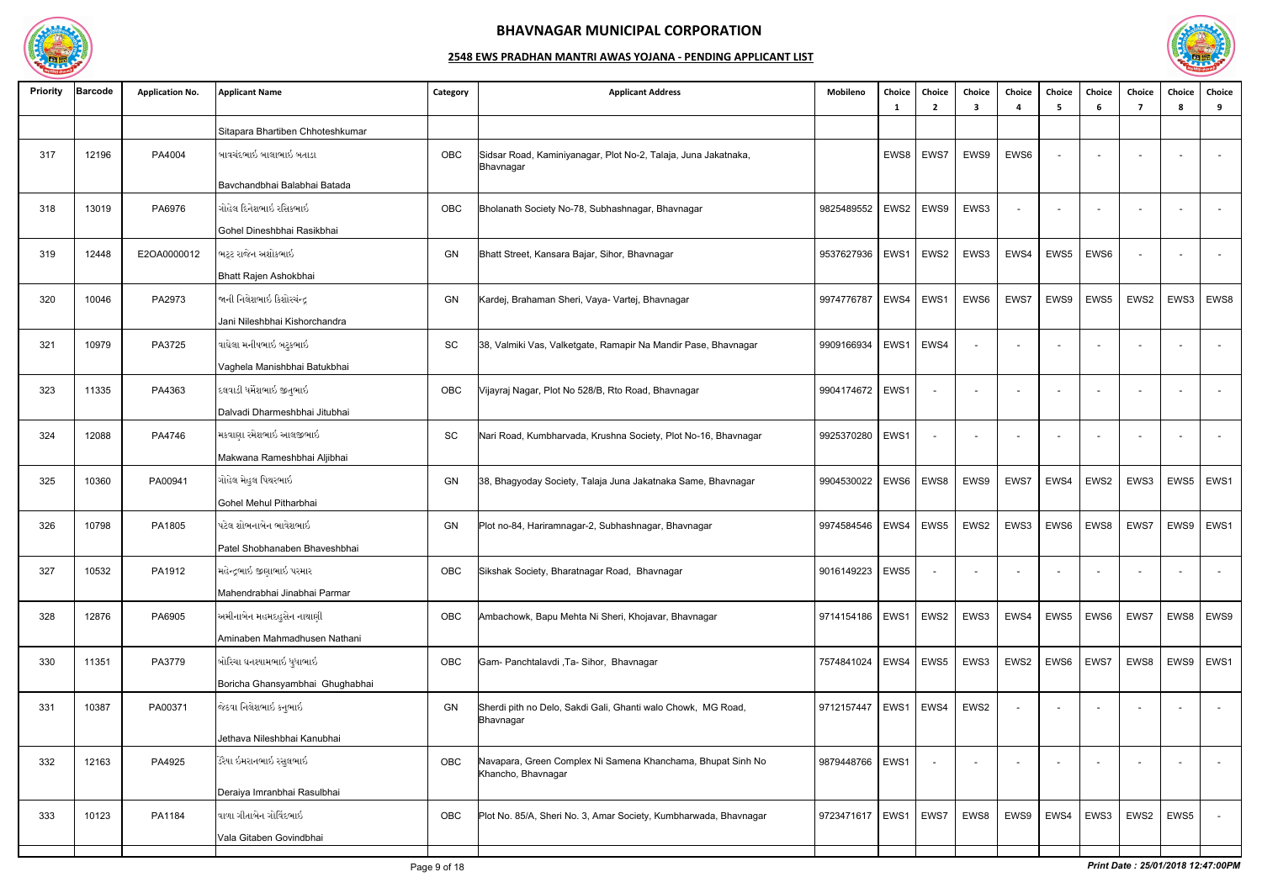

| <b>Priority</b> | Barcode | <b>Application No.</b> | <b>Applicant Name</b>            | Category  | <b>Applicant Address</b>                                                          | Mobileno   | Choice      | Choice<br>$\overline{2}$ | Choice<br>3 | Choice                   | <b>Choice</b><br>-5      | Choice<br>-6 | Choice<br>-7             | Choice<br>-8 | Choice<br>9              |
|-----------------|---------|------------------------|----------------------------------|-----------|-----------------------------------------------------------------------------------|------------|-------------|--------------------------|-------------|--------------------------|--------------------------|--------------|--------------------------|--------------|--------------------------|
|                 |         |                        | Sitapara Bhartiben Chhoteshkumar |           |                                                                                   |            |             |                          |             |                          |                          |              |                          |              |                          |
| 317             | 12196   | PA4004                 | બાવચંદભાઇ બાલાભાઇ બતાડા          | OBC       | Sidsar Road, Kaminiyanagar, Plot No-2, Talaja, Juna Jakatnaka,<br>Bhavnagar       |            | EWS8        | EWS7                     | EWS9        | EWS6                     | $\overline{\phantom{0}}$ |              |                          |              | $\alpha$                 |
|                 |         |                        | Bavchandbhai Balabhai Batada     |           |                                                                                   |            |             |                          |             |                          |                          |              |                          |              |                          |
| 318             | 13019   | PA6976                 | ગોહેલ દિનેશભાઇ રસિકભાઇ           | OBC       | Bholanath Society No-78, Subhashnagar, Bhavnagar                                  | 9825489552 | EWS2        | EWS9                     | EWS3        | $\sim$                   |                          |              |                          |              | $\sim$                   |
|                 |         |                        | Gohel Dineshbhai Rasikbhai       |           |                                                                                   |            |             |                          |             |                          |                          |              |                          |              |                          |
| 319             | 12448   | E2OA0000012            | ભટ્ટ રાજેન અશોકભાઇ               | GN        | Bhatt Street, Kansara Bajar, Sihor, Bhavnagar                                     | 9537627936 | EWS1        | EWS2                     | EWS3        | EWS4                     | EWS5                     | EWS6         |                          |              | $\sim$                   |
|                 |         |                        | Bhatt Rajen Ashokbhai            |           |                                                                                   |            |             |                          |             |                          |                          |              |                          |              |                          |
| 320             | 10046   | PA2973                 | જાની નિલેશભાઇ કિશોરચંન્દ્ર       | GN        | Kardej, Brahaman Sheri, Vaya- Vartej, Bhavnagar                                   | 9974776787 | EWS4        | EWS1                     | EWS6        | EWS7                     | EWS9                     | EWS5         | EWS2                     | EWS3         | EWS8                     |
|                 |         |                        | Jani Nileshbhai Kishorchandra    |           |                                                                                   |            |             |                          |             |                          |                          |              |                          |              |                          |
| 321             | 10979   | PA3725                 | વાઘેલા મનીષભાઇ બટુકભાઇ           | SC        | 38, Valmiki Vas, Valketgate, Ramapir Na Mandir Pase, Bhavnagar                    | 9909166934 | EWS1        | EWS4                     | $\sim$      | $\overline{\phantom{a}}$ | $\overline{a}$           | $\sim$       | $\sim$                   |              | $\sim$                   |
|                 |         |                        | Vaghela Manishbhai Batukbhai     |           |                                                                                   |            |             |                          |             |                          |                          |              |                          |              |                          |
| 323             | 11335   | PA4363                 | દલવાડી ધર્મેશભાઇ જીતુભાઇ         | OBC       | Vijayraj Nagar, Plot No 528/B, Rto Road, Bhavnagar                                | 9904174672 | EWS1        |                          | $\sim$      | $\overline{\phantom{a}}$ |                          |              |                          |              | $\sim$                   |
|                 |         |                        | Dalvadi Dharmeshbhai Jitubhai    |           |                                                                                   |            |             |                          |             |                          |                          |              |                          |              |                          |
| 324             | 12088   | PA4746                 | મકવાણા રમેશભાઇ આલજીભાઇ           | <b>SC</b> | Nari Road, Kumbharvada, Krushna Society, Plot No-16, Bhavnagar                    | 9925370280 | EWS1        |                          |             | $\overline{\phantom{a}}$ |                          |              |                          |              | $\overline{\phantom{a}}$ |
|                 |         |                        | Makwana Rameshbhai Aljibhai      |           |                                                                                   |            |             |                          |             |                          |                          |              |                          |              |                          |
| 325             | 10360   | PA00941                | ગોહેલ મેહુલ પિથરભાઇ              | GN        | 38, Bhagyoday Society, Talaja Juna Jakatnaka Same, Bhavnagar                      | 9904530022 | EWS6        | EWS8                     | EWS9        | EWS7                     | EWS4                     | EWS2         | EWS3                     | EWS5         | EWS1                     |
|                 |         |                        | Gohel Mehul Pitharbhai           |           |                                                                                   |            |             |                          |             |                          |                          |              |                          |              |                          |
| 326             | 10798   | PA1805                 | પટેલ શોભનાબેન ભાવેશભાઇ           | GN        | Plot no-84, Hariramnagar-2, Subhashnagar, Bhavnagar                               | 9974584546 | EWS4        | EWS5                     | EWS2        | EWS3                     | EWS6                     | EWS8         | EWS7                     | EWS9         | EWS1                     |
|                 |         |                        | Patel Shobhanaben Bhaveshbhai    |           |                                                                                   |            |             |                          |             |                          |                          |              |                          |              |                          |
| 327             | 10532   | PA1912                 | મહેન્દ્રભાઇ જીણાભાઇ પરમાર        | OBC       | Sikshak Society, Bharatnagar Road, Bhavnagar                                      | 9016149223 | EWS5        |                          | $\sim$      | $\overline{a}$           |                          |              | $\overline{\phantom{0}}$ |              | $\sim$                   |
|                 |         |                        | Mahendrabhai Jinabhai Parmar     |           |                                                                                   |            |             |                          |             |                          |                          |              |                          |              |                          |
| 328             | 12876   | PA6905                 | અમીનાબેન મહમદહુસેન નાથાણી        | OBC       | Ambachowk, Bapu Mehta Ni Sheri, Khojavar, Bhavnagar                               | 9714154186 | EWS1   EWS2 |                          | EWS3        | EWS4                     | EWS5                     | EWS6         | EWS7                     | EWS8         | EWS9                     |
|                 |         |                        | Aminaben Mahmadhusen Nathani     |           |                                                                                   |            |             |                          |             |                          |                          |              |                          |              |                          |
| 330             | 11351   | PA3779                 | બોરિચા ઘનશ્યામભાઇ ધુધાભાઇ        | OBC       | Gam- Panchtalavdi , Ta- Sihor, Bhavnagar                                          | 7574841024 | EWS4        | EWS5                     | EWS3        | EWS2                     | EWS6                     | EWS7         | EWS8                     | EWS9         | EWS1                     |
|                 |         |                        | Boricha Ghansyambhai Ghughabhai  |           |                                                                                   |            |             |                          |             |                          |                          |              |                          |              |                          |
| 331             | 10387   | PA00371                | જેઠવા નિલેશભાઇ કનુભાઇ            | <b>GN</b> | Sherdi pith no Delo, Sakdi Gali, Ghanti walo Chowk, MG Road,<br>Bhavnagar         | 9712157447 | EWS1        | EWS4                     | EWS2        | $\sim$                   |                          |              |                          |              | $\sim$                   |
|                 |         |                        | Jethava Nileshbhai Kanubhai      |           |                                                                                   |            |             |                          |             |                          |                          |              |                          |              |                          |
| 332             | 12163   | PA4925                 | ડેરૈયા ઇમરાનભાઇ રસુલભાઇ          | OBC       | Navapara, Green Complex Ni Samena Khanchama, Bhupat Sinh No<br>Khancho, Bhavnagar | 9879448766 | EWS1        |                          |             |                          |                          |              |                          |              | $\sim$                   |
|                 |         |                        | Deraiya Imranbhai Rasulbhai      |           |                                                                                   |            |             |                          |             |                          |                          |              |                          |              |                          |
| 333             | 10123   | PA1184                 | વાળા ગીતાબેન ગોવિંદભાઇ           | OBC       | Plot No. 85/A, Sheri No. 3, Amar Society, Kumbharwada, Bhavnagar                  | 9723471617 | EWS1        | EWS7                     | EWS8        | EWS9                     | EWS4                     | EWS3         | EWS2                     | EWS5         | $\sim$                   |
|                 |         |                        | Vala Gitaben Govindbhai          |           |                                                                                   |            |             |                          |             |                          |                          |              |                          |              |                          |
|                 |         |                        |                                  |           |                                                                                   |            |             |                          |             |                          |                          |              |                          |              |                          |

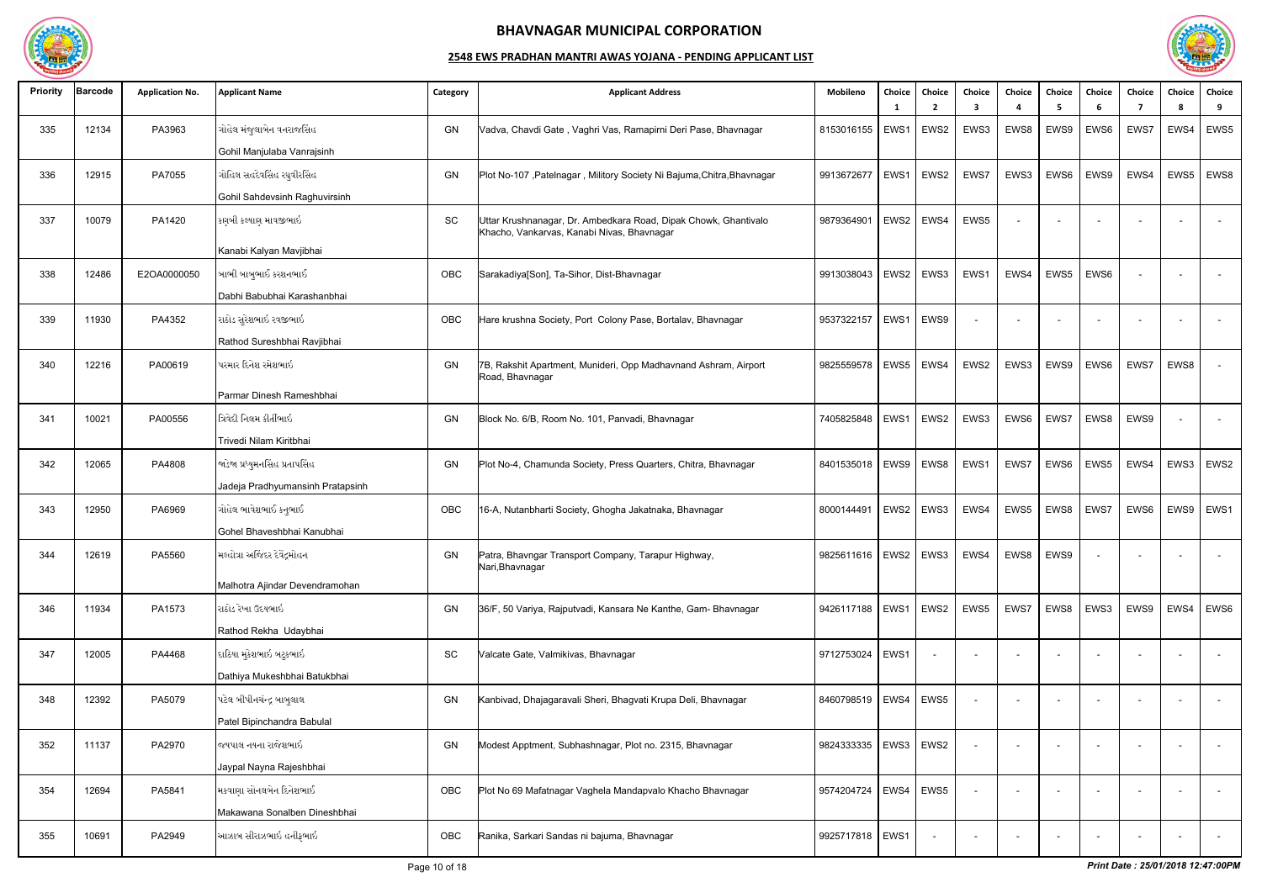

| <b>Priority</b> | <b>Barcode</b> | <b>Application No.</b> | <b>Applicant Name</b>            | Category  | <b>Applicant Address</b>                                                                                      | Mobileno                                      | Choice           | Choice<br>$\overline{\phantom{a}}$ | Choice<br>3 | Choice                   | Choice<br>-5 | Choice<br>-6 | Choice | Choice<br><b>R</b> | <b>Choice</b><br>9       |
|-----------------|----------------|------------------------|----------------------------------|-----------|---------------------------------------------------------------------------------------------------------------|-----------------------------------------------|------------------|------------------------------------|-------------|--------------------------|--------------|--------------|--------|--------------------|--------------------------|
| 335             | 12134          | PA3963                 | ગોહેલ મંજુલાબેન વનરાજસિંહ        | GN        | Vadva, Chavdi Gate, Vaghri Vas, Ramapirni Deri Pase, Bhavnagar                                                | 8153016155                                    | EWS1             | EWS <sub>2</sub>                   | EWS3        | EWS8                     | EWS9         | EWS6         | EWS7   | EWS4               | EWS5                     |
|                 |                |                        | Gohil Manjulaba Vanrajsinh       |           |                                                                                                               |                                               |                  |                                    |             |                          |              |              |        |                    |                          |
| 336             | 12915          | PA7055                 | ગોહિલ સહદેવસિંહ રઘુવીરસિંહ       | GN        | Plot No-107, Patelnagar, Militory Society Ni Bajuma, Chitra, Bhavnagar                                        | 9913672677                                    | EWS1             | EWS2                               | EWS7        | EWS3                     | EWS6         | EWS9         | EWS4   | EWS5               | EWS8                     |
|                 |                |                        | Gohil Sahdevsinh Raghuvirsinh    |           |                                                                                                               |                                               |                  |                                    |             |                          |              |              |        |                    |                          |
| 337             | 10079          | PA1420                 | કણબી કલ્યાણ માવજીભાઇ             | <b>SC</b> | Uttar Krushnanagar, Dr. Ambedkara Road, Dipak Chowk, Ghantivalo<br>Khacho, Vankarvas, Kanabi Nivas, Bhavnagar | 9879364901                                    | EWS2             | EWS4                               | EWS5        | $\overline{a}$           |              |              |        |                    | $\sim$                   |
|                 |                |                        | Kanabi Kalyan Mavjibhai          |           |                                                                                                               |                                               |                  |                                    |             |                          |              |              |        |                    |                          |
| 338             | 12486          | E2OA0000050            | બાભી બાબુભાઈ કરશનભાઈ             | OBC       | Sarakadiya[Son], Ta-Sihor, Dist-Bhavnagar                                                                     | 9913038043                                    | EWS2             | EWS3                               | EWS1        | EWS4                     | EWS5         | EWS6         |        |                    | $\sim$                   |
|                 |                |                        | Dabhi Babubhai Karashanbhai      |           |                                                                                                               |                                               |                  |                                    |             |                          |              |              |        |                    |                          |
| 339             | 11930          | PA4352                 | રાઠોડ સુરેશભાઇ રવજીભાઇ           | OBC       | Hare krushna Society, Port Colony Pase, Bortalav, Bhavnagar                                                   | 9537322157                                    | EWS1             | EWS9                               |             |                          |              |              |        |                    |                          |
|                 |                |                        | Rathod Sureshbhai Ravjibhai      |           |                                                                                                               |                                               |                  |                                    |             |                          |              |              |        |                    |                          |
| 340             | 12216          | PA00619                | પરમાર દિનેશ રમેશભાઇ              | GN        | 7B, Rakshit Apartment, Munideri, Opp Madhavnand Ashram, Airport<br>Road, Bhavnagar                            | 9825559578                                    | EWS5             | EWS4                               | EWS2        | EWS3                     | EWS9         | EWS6         | EWS7   | EWS8               | $\overline{a}$           |
|                 |                |                        | Parmar Dinesh Rameshbhai         |           |                                                                                                               |                                               |                  |                                    |             |                          |              |              |        |                    |                          |
| 341             | 10021          | PA00556                | ત્રિવેદી નિલમ કીર્તીભાઇ          | GN        | Block No. 6/B, Room No. 101, Panvadi, Bhavnagar                                                               | 7405825848                                    | EWS1             | EWS2                               | EWS3        | EWS6                     | EWS7         | EWS8         | EWS9   |                    | $\overline{\phantom{a}}$ |
|                 |                |                        | Trivedi Nilam Kiritbhai          |           |                                                                                                               |                                               |                  |                                    |             |                          |              |              |        |                    |                          |
| 342             | 12065          | PA4808                 | જાડેજા પ્રધ્યુમનસિંહ પ્રતાપસિંહ  | GN        | Plot No-4, Chamunda Society, Press Quarters, Chitra, Bhavnagar                                                | 8401535018                                    | EWS9             | EWS8                               | EWS1        | EWS7                     | EWS6         | EWS5         | EWS4   | EWS3               | EWS <sub>2</sub>         |
|                 |                |                        | Jadeja Pradhyumansinh Pratapsinh |           |                                                                                                               |                                               |                  |                                    |             |                          |              |              |        |                    |                          |
| 343             | 12950          | PA6969                 | ગોહેલ ભાવેશભાઈ કનુભાઈ            | OBC       | 16-A, Nutanbharti Society, Ghogha Jakatnaka, Bhavnagar                                                        | 8000144491                                    | EWS <sub>2</sub> | EWS3                               | EWS4        | EWS5                     | EWS8         | EWS7         | EWS6   | EWS9               | EWS1                     |
|                 |                |                        | Gohel Bhaveshbhai Kanubhai       |           |                                                                                                               |                                               |                  |                                    |             |                          |              |              |        |                    |                          |
| 344             | 12619          | PA5560                 | મલ્હોત્રા અજિંદર દેવેંદ્રમોહન    | GN        | Patra, Bhavngar Transport Company, Tarapur Highway,<br>Nari, Bhavnagar                                        | 9825611616   EWS2   EWS3   EWS4   EWS8   EWS9 |                  |                                    |             |                          |              |              |        |                    |                          |
|                 |                |                        | Malhotra Ajindar Devendramohan   |           |                                                                                                               |                                               |                  |                                    |             |                          |              |              |        |                    |                          |
| 346             | 11934          | PA1573                 | રાઠોડ રેખા ઉદયભાઇ                | GN        | 36/F, 50 Variya, Rajputvadi, Kansara Ne Kanthe, Gam- Bhavnagar                                                | 9426117188   EWS1   EWS2                      |                  |                                    | EWS5        | EWS7                     | EWS8         | EWS3         | EWS9   | EWS4               | EWS <sub>6</sub>         |
|                 |                |                        | Rathod Rekha Udaybhai            |           |                                                                                                               |                                               |                  |                                    |             |                          |              |              |        |                    |                          |
| 347             | 12005          | PA4468                 | દાઠિયા મુકેશભાઇ બટુકભાઇ          | SC        | Valcate Gate, Valmikivas, Bhavnagar                                                                           | 9712753024                                    | EWS1             |                                    |             |                          |              |              |        |                    | $\sim$                   |
|                 |                |                        | Dathiya Mukeshbhai Batukbhai     |           |                                                                                                               |                                               |                  |                                    |             |                          |              |              |        |                    |                          |
| 348             | 12392          | PA5079                 | પટેલ બીપીનચંન્દ્ર બાબુલાલ        | GN        | Kanbivad, Dhajagaravali Sheri, Bhagvati Krupa Deli, Bhavnagar                                                 | 8460798519                                    | EWS4             | EWS5                               |             | $\overline{\phantom{a}}$ |              |              | $\sim$ |                    | $\sim$                   |
|                 |                |                        | Patel Bipinchandra Babulal       |           |                                                                                                               |                                               |                  |                                    |             |                          |              |              |        |                    |                          |
| 352             | 11137          | PA2970                 | જયપાલ નયના રાજેશભાઇ              | GN        | Modest Apptment, Subhashnagar, Plot no. 2315, Bhavnagar                                                       | 9824333335                                    | EWS3 EWS2        |                                    |             |                          |              |              |        |                    | $\sim$                   |
|                 |                |                        | Jaypal Nayna Rajeshbhai          |           |                                                                                                               |                                               |                  |                                    |             |                          |              |              |        |                    |                          |
| 354             | 12694          | PA5841                 | મકવાણા સોનલબેન દિનેશભાઈ          | OBC       | Plot No 69 Mafatnagar Vaghela Mandapvalo Khacho Bhavnagar                                                     | 9574204724                                    | EWS4 EWS5        |                                    |             |                          |              |              |        |                    |                          |
|                 |                |                        | Makawana Sonalben Dineshbhai     |           |                                                                                                               |                                               |                  |                                    |             |                          |              |              |        |                    |                          |
| 355             | 10691          | PA2949                 | આઝાબ સીરાઝભાઇ હનીફભાઇ_           | OBC       | Ranika, Sarkari Sandas ni bajuma, Bhavnagar                                                                   | 9925717818   EWS1                             |                  |                                    |             |                          |              |              |        |                    | $\sim$                   |

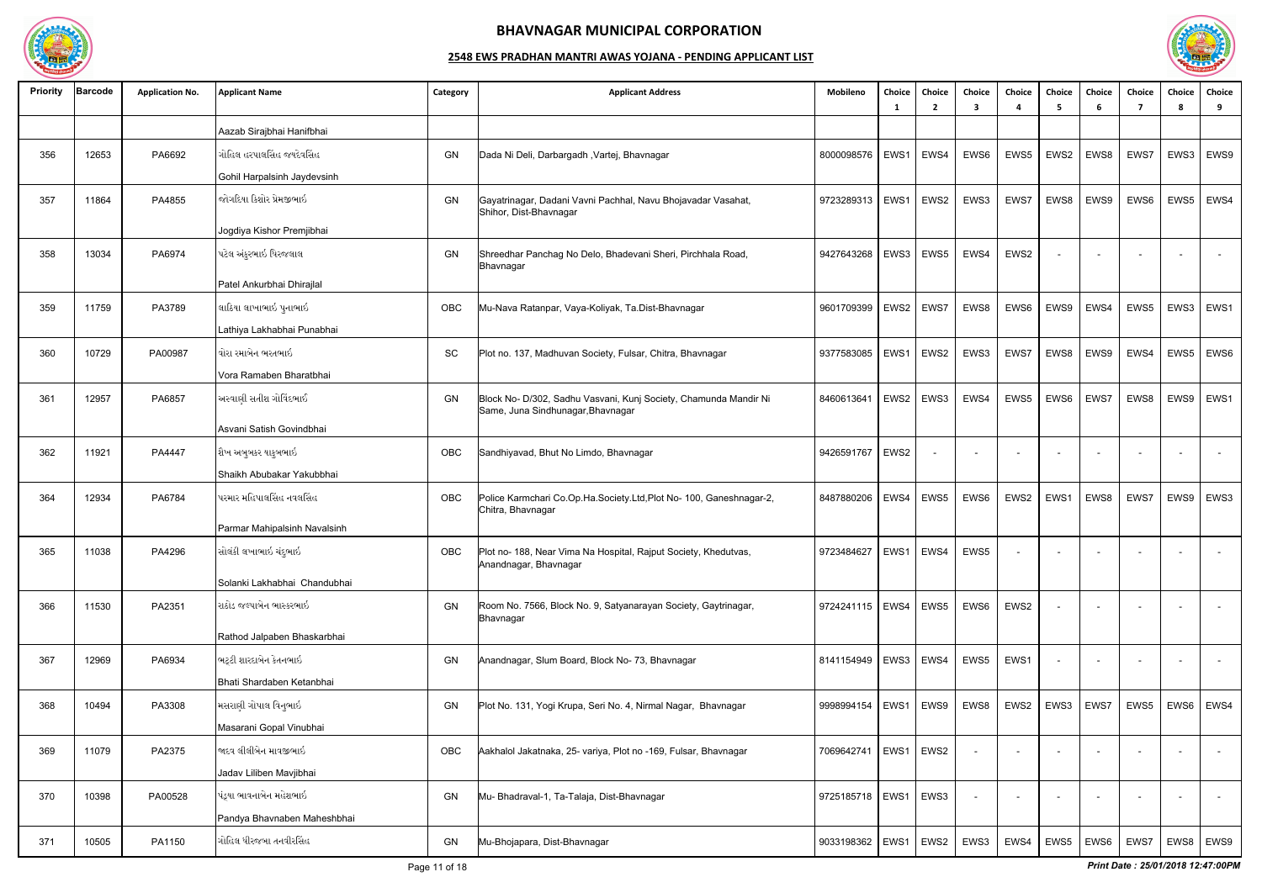

| <b>Priority</b> | <b>Barcode</b> | <b>Application No.</b> | <b>Applicant Name</b>        | Category | <b>Applicant Address</b>                                                                              | Mobileno                 | Choice<br>- 1 | Choice<br>2              | Choice<br>3              | Choice                   | Choice<br>-5             | Choice<br>-6     | Choice<br>7 | Choice<br>-8 | <b>Choice</b><br>9 |
|-----------------|----------------|------------------------|------------------------------|----------|-------------------------------------------------------------------------------------------------------|--------------------------|---------------|--------------------------|--------------------------|--------------------------|--------------------------|------------------|-------------|--------------|--------------------|
|                 |                |                        | Aazab Sirajbhai Hanifbhai    |          |                                                                                                       |                          |               |                          |                          |                          |                          |                  |             |              |                    |
| 356             | 12653          | PA6692                 | ગોહિલ હરપાલસિંહ જયદેવસિંહ    | GN       | Dada Ni Deli, Darbargadh, Vartej, Bhavnagar                                                           | 8000098576               | EWS1          | EWS4                     | EWS6                     | EWS5                     | EWS2                     | EWS8             | EWS7        | EWS3         | EWS9               |
|                 |                |                        | Gohil Harpalsinh Jaydevsinh  |          |                                                                                                       |                          |               |                          |                          |                          |                          |                  |             |              |                    |
| 357             | 11864          | PA4855                 | જોગદિયા કિશોર પ્રેમજીભાઇ     | GN       | Gayatrinagar, Dadani Vavni Pachhal, Navu Bhojavadar Vasahat,<br>Shihor, Dist-Bhavnagar                | 9723289313               | EWS1          | EWS2                     | EWS3                     | EWS7                     | EWS8                     | EWS9             | EWS6        | EWS5         | EWS4               |
|                 |                |                        | Jogdiya Kishor Premjibhai    |          |                                                                                                       |                          |               |                          |                          |                          |                          |                  |             |              |                    |
| 358             | 13034          | PA6974                 | પટેલ અંકુરભાઇ ધિરજલાલ        | GN       | Shreedhar Panchag No Delo, Bhadevani Sheri, Pirchhala Road,<br>Bhavnagar                              | 9427643268               | EWS3          | EWS5                     | EWS4                     | EWS2                     | $\overline{\phantom{a}}$ |                  |             |              | $\overline{a}$     |
|                 |                |                        | Patel Ankurbhai Dhirajlal    |          |                                                                                                       |                          |               |                          |                          |                          |                          |                  |             |              |                    |
| 359             | 11759          | PA3789                 | લાઠિયા લાખાભાઇ પુનાભાઇ       | OBC      | Mu-Nava Ratanpar, Vaya-Koliyak, Ta.Dist-Bhavnagar                                                     | 9601709399               |               | EWS2   EWS7              | EWS8                     | EWS6                     | EWS9                     | EWS4             | EWS5        | EWS3         | EWS1               |
|                 |                |                        | Lathiya Lakhabhai Punabhai   |          |                                                                                                       |                          |               |                          |                          |                          |                          |                  |             |              |                    |
| 360             | 10729          | PA00987                | વોરા રમાબેન ભરતભાઇ           | SC       | Plot no. 137, Madhuvan Society, Fulsar, Chitra, Bhavnagar                                             | 9377583085               | EWS1          | EWS2                     | EWS3                     | EWS7                     | EWS8                     | EWS9             | EWS4        | EWS5         | EWS <sub>6</sub>   |
|                 |                |                        | Vora Ramaben Bharatbhai      |          |                                                                                                       |                          |               |                          |                          |                          |                          |                  |             |              |                    |
| 361             | 12957          | PA6857                 | અસ્વાણી સતીશ ગોવિંદભાઈ       | GN       | Block No- D/302, Sadhu Vasvani, Kunj Society, Chamunda Mandir Ni<br>Same, Juna Sindhunagar, Bhavnagar | 8460613641               | EWS2          | EWS3                     | EWS4                     | EWS5                     | EWS6                     | EWS7             | EWS8        | EWS9         | EWS1               |
|                 |                |                        | Asvani Satish Govindbhai     |          |                                                                                                       |                          |               |                          |                          |                          |                          |                  |             |              |                    |
| 362             | 11921          | PA4447                 | શૈખ અબુબકર યાકુબભાઇ          | OBC      | Sandhiyavad, Bhut No Limdo, Bhavnagar                                                                 | 9426591767               | EWS2          | $\overline{\phantom{a}}$ | $\overline{\phantom{0}}$ | $\overline{\phantom{a}}$ | $\sim$                   |                  |             |              | $\sim$             |
|                 |                |                        | Shaikh Abubakar Yakubbhai    |          |                                                                                                       |                          |               |                          |                          |                          |                          |                  |             |              |                    |
| 364             | 12934          | PA6784                 | પરમાર મહિપાલસિંહ નવલસિંહ     | OBC      | Police Karmchari Co.Op.Ha.Society.Ltd,Plot No- 100, Ganeshnagar-2,<br>Chitra, Bhavnagar               | 8487880206               | EWS4          | EWS5                     | EWS6                     | EWS2                     | EWS1                     | EWS8             | EWS7        | EWS9         | EWS3               |
|                 |                |                        | Parmar Mahipalsinh Navalsinh |          |                                                                                                       |                          |               |                          |                          |                          |                          |                  |             |              |                    |
| 365             | 11038          | PA4296                 | સોલંકી લખાભાઇ ચંદુભાઇ        | OBC      | Plot no- 188, Near Vima Na Hospital, Rajput Society, Khedutvas,<br>Anandnagar, Bhavnagar              | 9723484627               |               | EWS1   EWS4              | EWS5                     | $\sim$                   |                          |                  |             |              |                    |
|                 |                |                        | Solanki Lakhabhai Chandubhai |          |                                                                                                       |                          |               |                          |                          |                          |                          |                  |             |              |                    |
| 366             | 11530          | PA2351                 | રાઠોડ જલ્પાબેન ભાસ્કરભાઇ     | GN       | Room No. 7566, Block No. 9, Satyanarayan Society, Gaytrinagar,<br>Bhavnagar                           | 9724241115   EWS4   EWS5 |               |                          | EWS6                     | EWS2                     |                          |                  |             |              | $\sim$             |
|                 |                |                        | Rathod Jalpaben Bhaskarbhai  |          |                                                                                                       |                          |               |                          |                          |                          |                          |                  |             |              |                    |
| 367             | 12969          | PA6934                 | ભટ્ટી શારદાબેન કેતનભાઇ       | GN       | Anandnagar, Slum Board, Block No- 73, Bhavnagar                                                       | 8141154949               | EWS3 EWS4     |                          | EWS5                     | EWS1                     |                          |                  |             |              | $\sim$             |
|                 |                |                        | Bhati Shardaben Ketanbhai    |          |                                                                                                       |                          |               |                          |                          |                          |                          |                  |             |              |                    |
| 368             | 10494          | PA3308                 | મસરાણી ગોપાલ વિનુભાઇ         | GN       | Plot No. 131, Yogi Krupa, Seri No. 4, Nirmal Nagar, Bhavnagar                                         | 9998994154               |               | EWS1   EWS9              | EWS8                     | EWS2                     | EWS3                     | EWS7             | EWS5        | EWS6         | EWS4               |
|                 |                |                        | Masarani Gopal Vinubhai      |          |                                                                                                       |                          |               |                          |                          |                          |                          |                  |             |              |                    |
| 369             | 11079          | PA2375                 | જાદવ લીલીબેન માવજીભાઇ        | OBC      | Aakhalol Jakatnaka, 25- variya, Plot no -169, Fulsar, Bhavnagar                                       | 7069642741               |               | EWS1   EWS2              |                          |                          |                          |                  | $\sim$      |              | $\sim$             |
|                 |                |                        | Jadav Liliben Mavjibhai      |          |                                                                                                       |                          |               |                          |                          |                          |                          |                  |             |              |                    |
| 370             | 10398          | PA00528                | પંડ્યા ભાવનાબેન મહેશભાઇ      | GN       | Mu- Bhadraval-1, Ta-Talaja, Dist-Bhavnagar                                                            | 9725185718               | EWS1 EWS3     |                          |                          | $\overline{\phantom{a}}$ |                          |                  |             |              | $\sim$             |
|                 |                |                        | Pandya Bhavnaben Maheshbhai  |          |                                                                                                       |                          |               |                          |                          |                          |                          |                  |             |              |                    |
| 371             | 10505          | PA1150                 | ગોહિલ ધીરજબા તનવીરસિંહ       | GN       | Mu-Bhojapara, Dist-Bhavnagar                                                                          | 9033198362               |               | EWS1   EWS2              | EWS3                     | EWS4                     | EWS5                     | EWS <sub>6</sub> | EWS7        |              | EWS8   EWS9        |

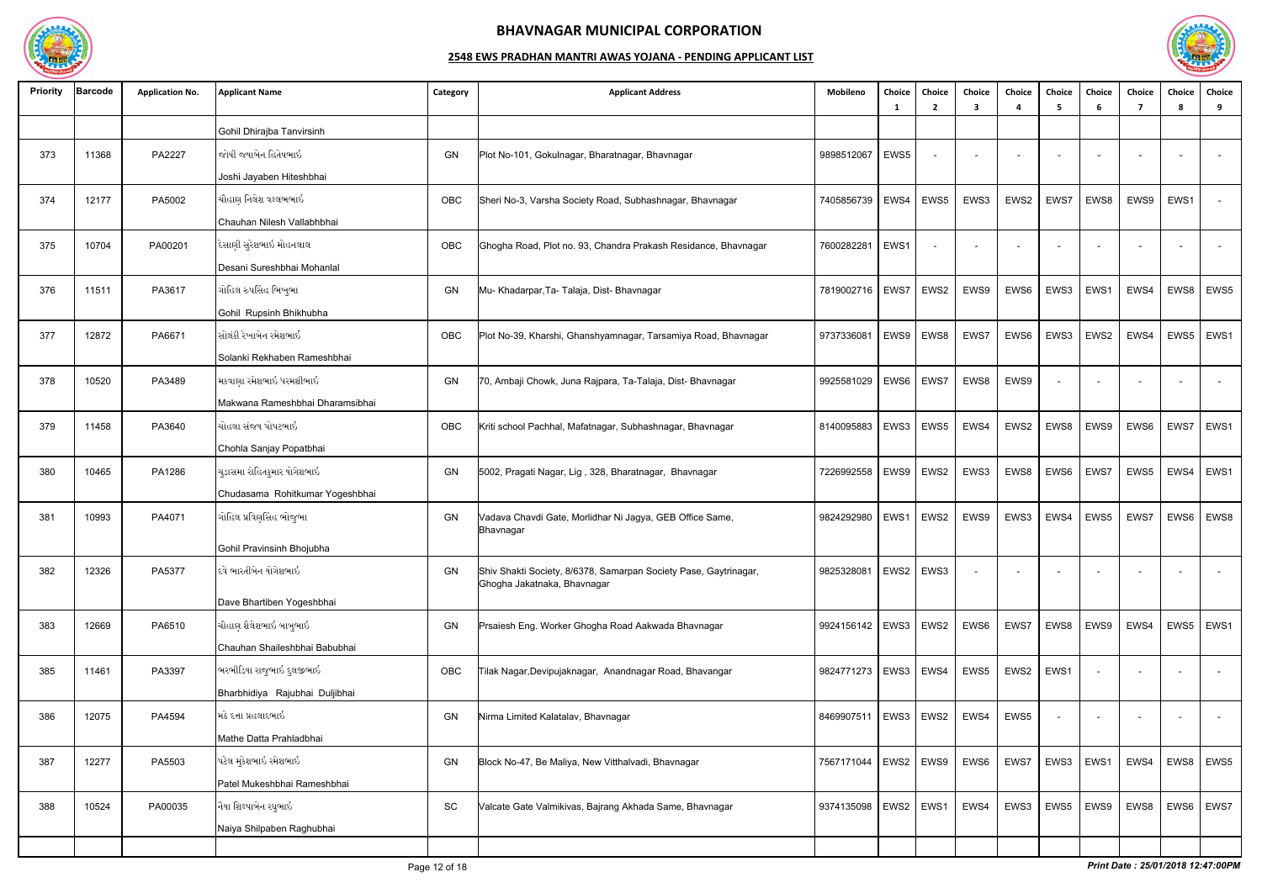

| <b>Priority</b> | <b>Barcode</b> | <b>Application No.</b> | <b>Applicant Name</b>           | Category | <b>Applicant Address</b>                                                                        | Mobileno                 | Choice<br>-1 | Choice<br>2 | Choice<br>3              | Choice                   | Choice<br>-5             | Choice<br>-6 | Choice<br>7              | Choice<br>-8 | Choice<br>9              |
|-----------------|----------------|------------------------|---------------------------------|----------|-------------------------------------------------------------------------------------------------|--------------------------|--------------|-------------|--------------------------|--------------------------|--------------------------|--------------|--------------------------|--------------|--------------------------|
|                 |                |                        | Gohil Dhirajba Tanvirsinh       |          |                                                                                                 |                          |              |             |                          |                          |                          |              |                          |              |                          |
| 373             | 11368          | PA2227                 | જોષી જયાબેન હિતેષભાઇ            | GN       | Plot No-101, Gokulnagar, Bharatnagar, Bhavnagar                                                 | 9898512067               | EWS5         |             | $\overline{\phantom{a}}$ | $\overline{\phantom{a}}$ | $\overline{\phantom{a}}$ |              |                          |              | $\sim$                   |
|                 |                |                        | Joshi Jayaben Hiteshbhai        |          |                                                                                                 |                          |              |             |                          |                          |                          |              |                          |              |                          |
| 374             | 12177          | PA5002                 | ચૌહાણ નિલેશ વલ્લભભાઇ            | OBC      | Sheri No-3, Varsha Society Road, Subhashnagar, Bhavnagar                                        | 7405856739               | EWS4         | EWS5        | EWS3                     | EWS2                     | EWS7                     | EWS8         | EWS9                     | EWS1         | $\sim$                   |
|                 |                |                        | Chauhan Nilesh Vallabhbhai      |          |                                                                                                 |                          |              |             |                          |                          |                          |              |                          |              |                          |
| 375             | 10704          | PA00201                | દેસાણી સુરેશભાઇ મોહનલાલ         | OBC      | Ghogha Road, Plot no. 93, Chandra Prakash Residance, Bhavnagar                                  | 7600282281               | EWS1         |             |                          |                          |                          |              |                          |              | $\overline{\phantom{a}}$ |
|                 |                |                        | Desani Sureshbhai Mohanlal      |          |                                                                                                 |                          |              |             |                          |                          |                          |              |                          |              |                          |
| 376             | 11511          | PA3617                 | ગોહિલ રુપસિંહ ભિખુભા            | GN       | Mu- Khadarpar, Ta- Talaja, Dist- Bhavnagar                                                      | 7819002716               | EWS7         | EWS2        | EWS9                     | EWS6                     | EWS3                     | EWS1         | EWS4                     | EWS8         | EWS5                     |
|                 |                |                        | Gohil Rupsinh Bhikhubha         |          |                                                                                                 |                          |              |             |                          |                          |                          |              |                          |              |                          |
| 377             | 12872          | PA6671                 | સોલંકી રેખાબેન રમેશભાઈ          | OBC      | Plot No-39, Kharshi, Ghanshyamnagar, Tarsamiya Road, Bhavnagar                                  | 973733608                | EWS9         | EWS8        | EWS7                     | EWS6                     | EWS3                     | EWS2         | EWS4                     | EWS5         | EWS1                     |
|                 |                |                        | Solanki Rekhaben Rameshbhai     |          |                                                                                                 |                          |              |             |                          |                          |                          |              |                          |              |                          |
| 378             | 10520          | PA3489                 | મકવાણા રમેશભાઇ ધરમશીભાઇ         | GN       | 70, Ambaji Chowk, Juna Rajpara, Ta-Talaja, Dist- Bhavnagar                                      | 9925581029               | EWS6         | EWS7        | EWS8                     | EWS9                     |                          |              |                          |              | $\sim$                   |
|                 |                |                        | Makwana Rameshbhai Dharamsibhai |          |                                                                                                 |                          |              |             |                          |                          |                          |              |                          |              |                          |
| 379             | 11458          | PA3640                 | ચોહલા સંજય પોપટભાઇ              | OBC      | Kriti school Pachhal, Mafatnagar, Subhashnagar, Bhavnagar                                       | 8140095883               | EWS3         | EWS5        | EWS4                     | EWS2                     | EWS8                     | EWS9         | EWS6                     | EWS7         | EWS1                     |
|                 |                |                        | Chohla Sanjay Popatbhai         |          |                                                                                                 |                          |              |             |                          |                          |                          |              |                          |              |                          |
| 380             | 10465          | PA1286                 | ચુડાસમા રોહિતકુમાર યોગેશભાઇ     | GN       | 5002, Pragati Nagar, Lig, 328, Bharatnagar, Bhavnagar                                           | 7226992558               | EWS9         | EWS2        | EWS3                     | EWS8                     | EWS6                     | EWS7         | EWS5                     | EWS4         | EWS1                     |
|                 |                |                        | Chudasama Rohitkumar Yogeshbhai |          |                                                                                                 |                          |              |             |                          |                          |                          |              |                          |              |                          |
| 381             | 10993          | PA4071                 | ગોહિલ પ્રવિણસિંહ ભોજુભા         | GN       | Vadava Chavdi Gate, Morlidhar Ni Jagya, GEB Office Same,<br>Bhavnagar                           | 9824292980               | EWS1         | EWS2        | EWS9                     | EWS3                     | EWS4                     | EWS5         | EWS7                     | EWS6         | EWS8                     |
|                 |                |                        | Gohil Pravinsinh Bhojubha       |          |                                                                                                 |                          |              |             |                          |                          |                          |              |                          |              |                          |
| 382             | 12326          | PA5377                 | દવે ભારતીબેન યોગેશભાઇ           | GN       | Shiv Shakti Society, 8/6378, Samarpan Society Pase, Gaytrinagar,<br>Ghogha Jakatnaka, Bhavnagar | 9825328081               |              | EWS2   EWS3 |                          | $\overline{\phantom{a}}$ | $\overline{\phantom{a}}$ |              | $\overline{\phantom{0}}$ |              | $\sim$                   |
|                 |                |                        | Dave Bhartiben Yogeshbhai       |          |                                                                                                 |                          |              |             |                          |                          |                          |              |                          |              |                          |
| 383             | 12669          | PA6510                 | ચૌહાણ શૈલેશભાઇ બાબુભાઇ          | GN       | Prsaiesh Eng. Worker Ghogha Road Aakwada Bhavnagar                                              | 9924156142   EWS3   EWS2 |              |             | EWS6                     | EWS7                     | EWS8                     | EWS9         | EWS4                     | EWS5         | EWS1                     |
|                 |                |                        | Chauhan Shaileshbhai Babubhai   |          |                                                                                                 |                          |              |             |                          |                          |                          |              |                          |              |                          |
| 385             | 11461          | PA3397                 | ભરભીડિયા રાજુભાઇ દુલજીભાઇ       | OBC      | Tilak Nagar, Devipujaknagar, Anandnagar Road, Bhavangar                                         | 9824771273   EWS3   EWS4 |              |             | EWS5                     | EWS2                     | EWS1                     |              |                          |              | $\sim$                   |
|                 |                |                        | Bharbhidiya Rajubhai Duljibhai  |          |                                                                                                 |                          |              |             |                          |                          |                          |              |                          |              |                          |
| 386             | 12075          | PA4594                 | મિઠે દત્તા પ્રહલાદભાઇ           | GN       | Nirma Limited Kalatalav, Bhavnagar                                                              | 8469907511               |              | EWS3 EWS2   | EWS4                     | EWS5                     |                          |              |                          |              | $\sim$                   |
|                 |                |                        | Mathe Datta Prahladbhai         |          |                                                                                                 |                          |              |             |                          |                          |                          |              |                          |              |                          |
| 387             | 12277          | PA5503                 | પટેલ મુકેશભાઇ રમેશભાઇ           | GN       | Block No-47, Be Maliya, New Vitthalvadi, Bhavnagar                                              | 7567171044               |              | EWS2   EWS9 | EWS6                     | EWS7                     | EWS3                     | EWS1         | EWS4                     | EWS8         | EWS5                     |
|                 |                |                        | Patel Mukeshbhai Rameshbhai     |          |                                                                                                 |                          |              |             |                          |                          |                          |              |                          |              |                          |
| 388             | 10524          | PA00035                | નૈયા શિલ્પાબેન રઘુભાઇ           | SC       | Valcate Gate Valmikivas, Bajrang Akhada Same, Bhavnagar                                         | 9374135098               |              | EWS2   EWS1 | EWS4                     | EWS3                     | EWS5                     | EWS9         | EWS8                     | EWS6         | EWS7                     |
|                 |                |                        | Naiya Shilpaben Raghubhai       |          |                                                                                                 |                          |              |             |                          |                          |                          |              |                          |              |                          |
|                 |                |                        |                                 |          |                                                                                                 |                          |              |             |                          |                          |                          |              |                          |              |                          |

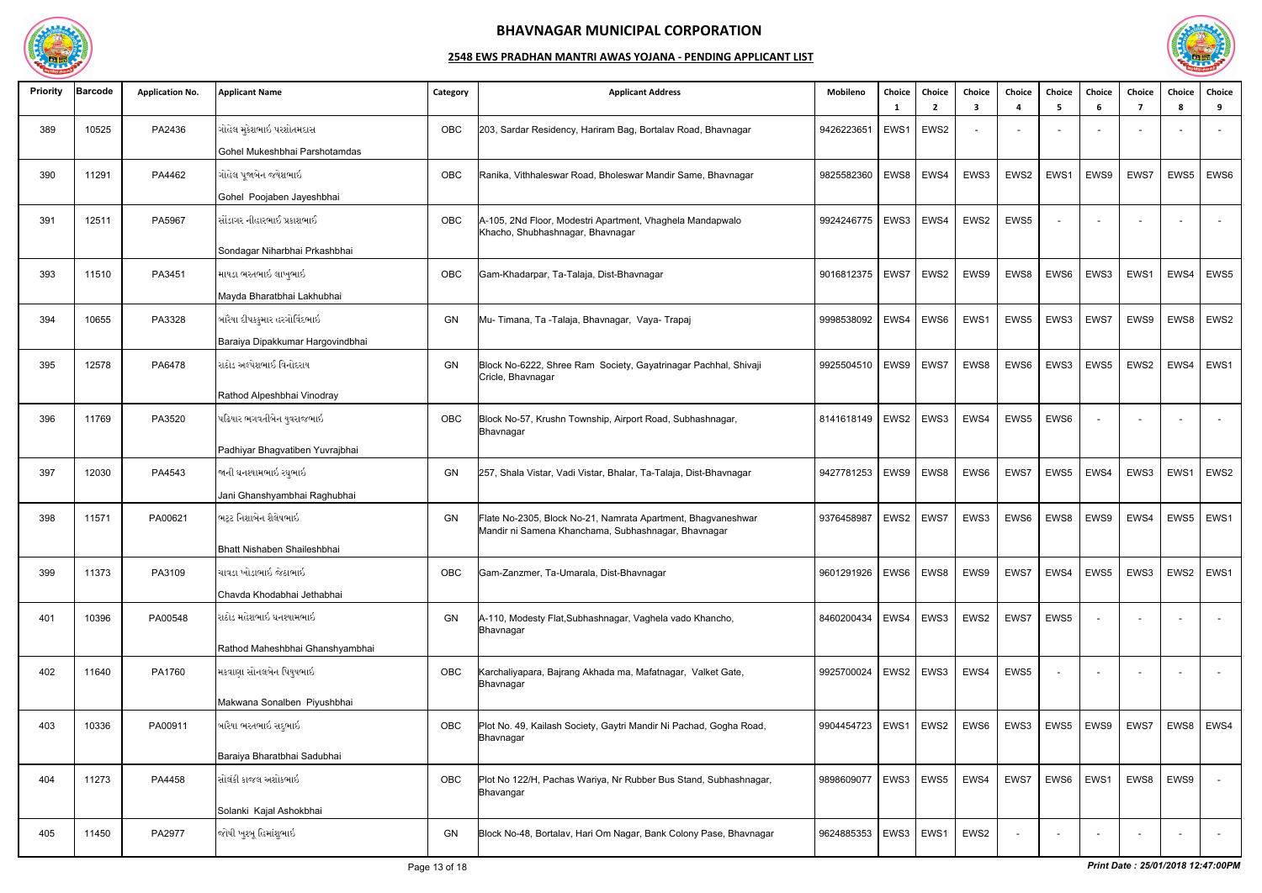

| <b>Priority</b> | <b>Barcode</b> | <b>Application No.</b> | <b>Applicant Name</b>            | Category | <b>Applicant Address</b>                                                                                            | Mobileno                 | Choice<br>- 1 | Choice<br>$\overline{\phantom{a}}$ | Choice<br>3 | Choice<br>$\boldsymbol{\Lambda}$ | <b>Choice</b><br>-5 | Choice<br>-6             | Choice<br>7              | Choice<br><b>R</b> | Choice<br>9              |
|-----------------|----------------|------------------------|----------------------------------|----------|---------------------------------------------------------------------------------------------------------------------|--------------------------|---------------|------------------------------------|-------------|----------------------------------|---------------------|--------------------------|--------------------------|--------------------|--------------------------|
| 389             | 10525          | PA2436                 | ગોહેલ મુકેશભાઇ પરશોતમદાસ         | OBC      | 203, Sardar Residency, Hariram Bag, Bortalav Road, Bhavnagar                                                        | 9426223651               | EWS1          | EWS2                               |             |                                  |                     |                          |                          |                    |                          |
|                 |                |                        | Gohel Mukeshbhai Parshotamdas    |          |                                                                                                                     |                          |               |                                    |             |                                  |                     |                          |                          |                    |                          |
| 390             | 11291          | PA4462                 | ગોહેલ પૂજાબેન જયેશભાઇ            | OBC      | Ranika, Vithhaleswar Road, Bholeswar Mandir Same, Bhavnagar                                                         | 9825582360               | EWS8          | EWS4                               | EWS3        | EWS2                             | EWS1                | EWS9                     | EWS7                     | EWS5               | EWS6                     |
|                 |                |                        | Gohel Poojaben Jayeshbhai        |          |                                                                                                                     |                          |               |                                    |             |                                  |                     |                          |                          |                    |                          |
| 391             | 12511          | PA5967                 | સોંડાગર નીહારભાઈ પ્રકાશભાઈ       | OBC      | A-105, 2Nd Floor, Modestri Apartment, Vhaghela Mandapwalo<br>Khacho, Shubhashnagar, Bhavnagar                       | 9924246775               | EWS3          | EWS4                               | EWS2        | EWS5                             |                     |                          |                          |                    | $\sim$                   |
|                 |                |                        | Sondagar Niharbhai Prkashbhai    |          |                                                                                                                     |                          |               |                                    |             |                                  |                     |                          |                          |                    |                          |
| 393             | 11510          | PA3451                 | માયડા ભરતભાઇ લાખુભાઇ             | OBC      | Gam-Khadarpar, Ta-Talaja, Dist-Bhavnagar                                                                            | 9016812375               | EWS7          | EWS2                               | EWS9        | EWS8                             | EWS6                | EWS3                     | EWS1                     | EWS4               | EWS5                     |
|                 |                |                        | Mayda Bharatbhai Lakhubhai       |          |                                                                                                                     |                          |               |                                    |             |                                  |                     |                          |                          |                    |                          |
| 394             | 10655          | PA3328                 | બારૈયા દીપકકુમાર હરગોવિંદભાઇ     | GN       | Mu- Timana, Ta -Talaja, Bhavnagar, Vaya- Trapaj                                                                     | 9998538092               | EWS4          | EWS6                               | EWS1        | EWS5                             | EWS3                | EWS7                     | EWS9                     | EWS8               | EWS2                     |
|                 |                |                        | Baraiya Dipakkumar Hargovindbhai |          |                                                                                                                     |                          |               |                                    |             |                                  |                     |                          |                          |                    |                          |
| 395             | 12578          | PA6478                 | રાઠોડ અલ્પેશભાઈ વિનોદરાય         | GN       | Block No-6222, Shree Ram Society, Gayatrinagar Pachhal, Shivaji<br>Cricle, Bhavnagar                                | 9925504510               | EWS9          | EWS7                               | EWS8        | EWS6                             | EWS3                | EWS5                     | EWS2                     | EWS4               | EWS1                     |
|                 |                |                        | Rathod Alpeshbhai Vinodray       |          |                                                                                                                     |                          |               |                                    |             |                                  |                     |                          |                          |                    |                          |
| 396             | 11769          | PA3520                 | પઢિયાર ભગવતીબેન યુવરાજભાઇ        | OBC      | Block No-57, Krushn Township, Airport Road, Subhashnagar,<br>Bhavnagar                                              | 8141618149   EWS2   EWS3 |               |                                    | EWS4        | EWS5                             | EWS6                |                          |                          |                    | $\overline{\phantom{a}}$ |
|                 |                |                        | Padhiyar Bhagvatiben Yuvrajbhai  |          |                                                                                                                     |                          |               |                                    |             |                                  |                     |                          |                          |                    |                          |
| 397             | 12030          | PA4543                 | જાની ઘનશ્યામભાઇ રઘુભાઇ           | GN       | 257, Shala Vistar, Vadi Vistar, Bhalar, Ta-Talaja, Dist-Bhavnagar                                                   | 9427781253               | EWS9          | EWS8                               | EWS6        | EWS7                             | EWS5                | EWS4                     | EWS3                     | EWS1               | EWS <sub>2</sub>         |
|                 |                |                        | Jani Ghanshyambhai Raghubhai     |          |                                                                                                                     |                          |               |                                    |             |                                  |                     |                          |                          |                    |                          |
| 398             | 11571          | PA00621                | ભટ્ટ નિશાબેન શૈલેષભાઇ            | GN       | Flate No-2305, Block No-21, Namrata Apartment, Bhagvaneshwar<br>Mandir ni Samena Khanchama, Subhashnagar, Bhavnagar | 9376458987               |               | EWS2   EWS7                        | EWS3        | EWS6                             | EWS8                | EWS9                     | EWS4                     | EWS5               | EWS1                     |
|                 |                |                        | Bhatt Nishaben Shaileshbhai      |          |                                                                                                                     |                          |               |                                    |             |                                  |                     |                          |                          |                    |                          |
| 399             | 11373          | PA3109                 | ચાવડા ખોડાભાઇ જેઠાભાઇ            | OBC      | Gam-Zanzmer, Ta-Umarala, Dist-Bhavnagar                                                                             | 9601291926               | EWS6   EWS8   |                                    | EWS9        | EWS7                             | EWS4                | EWS5                     | EWS3                     | EWS2               | EWS1                     |
|                 |                |                        | Chavda Khodabhai Jethabhai       |          |                                                                                                                     |                          |               |                                    |             |                                  |                     |                          |                          |                    |                          |
| 401             | 10396          | PA00548                | રાઠોડ મહેશભાઇ ઘનશ્યામભાઇ         | GN       | A-110, Modesty Flat, Subhashnagar, Vaghela vado Khancho,<br>Bhavnagar                                               | 8460200434               | EWS4          | EWS3                               | EWS2        | EWS7                             | EWS5                |                          |                          |                    | $\sim$                   |
|                 |                |                        | Rathod Maheshbhai Ghanshyambhai  |          |                                                                                                                     |                          |               |                                    |             |                                  |                     |                          |                          |                    |                          |
| 402             | 11640          | PA1760                 | મકવાણા સોનલબેન પિયુષભાઇ          | OBC      | Karchaliyapara, Bajrang Akhada ma, Mafatnagar, Valket Gate,<br>Bhavnagar                                            | 9925700024               |               | EWS2   EWS3                        | EWS4        | EWS5                             |                     |                          |                          |                    | $\sim$                   |
|                 |                |                        | Makwana Sonalben Piyushbhai      |          |                                                                                                                     |                          |               |                                    |             |                                  |                     |                          |                          |                    |                          |
| 403             | 10336          | PA00911                | બારૈયા ભરતભાઇ સદુભાઇ             | OBC      | Plot No. 49, Kailash Society, Gaytri Mandir Ni Pachad, Gogha Road,<br>Bhavnagar                                     | 9904454723               | EWS1          | EWS2                               | EWS6        | EWS3                             | EWS5                | EWS9                     | EWS7                     | EWS8               | EWS4                     |
|                 |                |                        | Baraiya Bharatbhai Sadubhai      |          |                                                                                                                     |                          |               |                                    |             |                                  |                     |                          |                          |                    |                          |
| 404             | 11273          | PA4458                 | સોલંકી કાજલ અશોકભાઇ              | OBC      | Plot No 122/H, Pachas Wariya, Nr Rubber Bus Stand, Subhashnagar,<br>Bhavangar                                       | 9898609077               |               | $EWS3$ EWS5                        | EWS4        | EWS7                             | EWS6                | EWS1                     | EWS8                     | EWS9               | $\sim$                   |
|                 |                |                        | Solanki Kajal Ashokbhai          |          |                                                                                                                     |                          |               |                                    |             |                                  |                     |                          |                          |                    |                          |
| 405             | 11450          | PA2977                 | જોષી ખુશ્બૂ હિમાંશુભાઇ           | GN       | Block No-48, Bortalav, Hari Om Nagar, Bank Colony Pase, Bhavnagar                                                   | 9624885353               | EWS3          | EWS1                               | EWS2        | $\overline{\phantom{a}}$         | $\sim$              | $\overline{\phantom{a}}$ | $\overline{\phantom{0}}$ |                    | $\sim$ $ \sim$           |

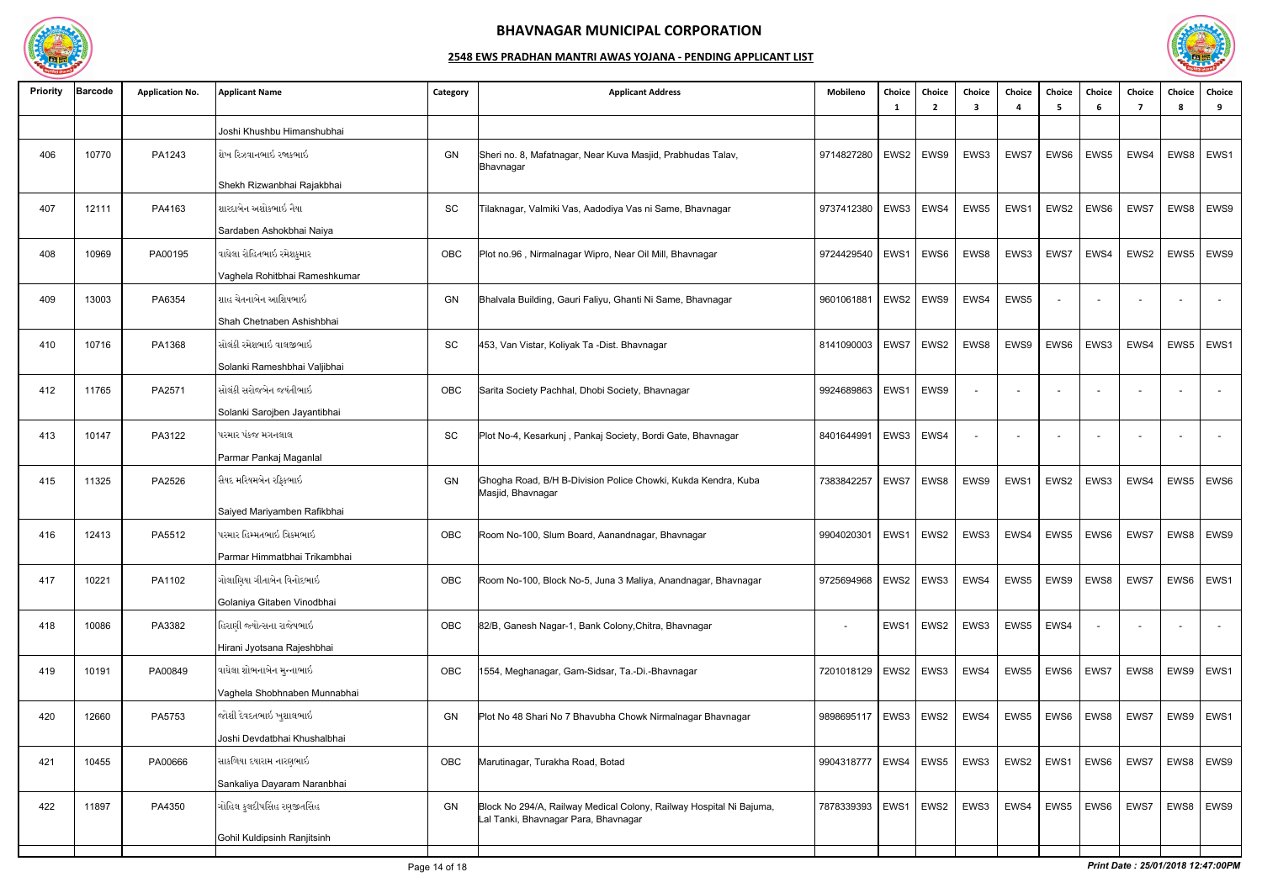

| <b>Priority</b> | <b>Barcode</b> | <b>Application No.</b> | <b>Applicant Name</b>         | Category  | <b>Applicant Address</b>                                                                                    | Mobileno                 | Choice<br>-1 | Choice<br>$\overline{2}$ | Choice<br>3 | Choice<br>4 | <b>Choice</b><br>-5 | Choice<br>-6 | Choice<br>-7 | Choice<br>-8 | Choice<br>9 |
|-----------------|----------------|------------------------|-------------------------------|-----------|-------------------------------------------------------------------------------------------------------------|--------------------------|--------------|--------------------------|-------------|-------------|---------------------|--------------|--------------|--------------|-------------|
|                 |                |                        | Joshi Khushbu Himanshubhai    |           |                                                                                                             |                          |              |                          |             |             |                     |              |              |              |             |
| 406             | 10770          | PA1243                 | શેખ રિઝવાનભાઇ રજાકભાઇ         | GN        | Sheri no. 8, Mafatnagar, Near Kuva Masjid, Prabhudas Talav,<br>Bhavnagar                                    | 9714827280               |              | EWS2   EWS9              | EWS3        | EWS7        | EWS6                | EWS5         | EWS4         | EWS8         | EWS1        |
|                 |                |                        | Shekh Rizwanbhai Rajakbhai    |           |                                                                                                             |                          |              |                          |             |             |                     |              |              |              |             |
| 407             | 12111          | PA4163                 | શારદાબેન અશોકભાઇ નૈયા         | SC        | Tilaknagar, Valmiki Vas, Aadodiya Vas ni Same, Bhavnagar                                                    | 9737412380               | EWS3         | EWS4                     | EWS5        | EWS1        | EWS2                | EWS6         | EWS7         | EWS8         | EWS9        |
|                 |                |                        | Sardaben Ashokbhai Naiya      |           |                                                                                                             |                          |              |                          |             |             |                     |              |              |              |             |
| 408             | 10969          | PA00195                | વાઘેલા રોહિતભાઇ રમેશકુમાર     | OBC       | Plot no.96, Nirmalnagar Wipro, Near Oil Mill, Bhavnagar                                                     | 9724429540               | EWS1         | EWS6                     | EWS8        | EWS3        | EWS7                | EWS4         | EWS2         | EWS5         | EWS9        |
|                 |                |                        | Vaghela Rohitbhai Rameshkumar |           |                                                                                                             |                          |              |                          |             |             |                     |              |              |              |             |
| 409             | 13003          | PA6354                 | શાહ ચેતનાબેન આશિષભાઇ          | GN        | Bhalvala Building, Gauri Faliyu, Ghanti Ni Same, Bhavnagar                                                  | 9601061881               | EWS2         | EWS9                     | EWS4        | EWS5        | $\overline{a}$      |              |              |              | $\sim$      |
|                 |                |                        | Shah Chetnaben Ashishbhai     |           |                                                                                                             |                          |              |                          |             |             |                     |              |              |              |             |
| 410             | 10716          | PA1368                 | સોલંકી રમેશભાઇ વાલજીભાઇ       | <b>SC</b> | 453, Van Vistar, Koliyak Ta -Dist. Bhavnagar                                                                | 8141090003               | EWS7         | EWS2                     | EWS8        | EWS9        | EWS6                | EWS3         | EWS4         | EWS5         | EWS1        |
|                 |                |                        | Solanki Rameshbhai Valjibhai  |           |                                                                                                             |                          |              |                          |             |             |                     |              |              |              |             |
| 412             | 11765          | PA2571                 | સોલંકી સરોજબેન જયંતીભાઇ       | OBC       | Sarita Society Pachhal, Dhobi Society, Bhavnagar                                                            | 9924689863               | EWS1         | EWS9                     |             |             |                     |              |              |              |             |
|                 |                |                        | Solanki Sarojben Jayantibhai  |           |                                                                                                             |                          |              |                          |             |             |                     |              |              |              |             |
| 413             | 10147          | PA3122                 | પરમાર પંકજ મગનલાલ             | <b>SC</b> | Plot No-4, Kesarkunj, Pankaj Society, Bordi Gate, Bhavnagar                                                 | 8401644991               |              | EWS3   EWS4              |             |             |                     |              |              |              |             |
|                 |                |                        | Parmar Pankaj Maganlal        |           |                                                                                                             |                          |              |                          |             |             |                     |              |              |              |             |
| 415             | 11325          | PA2526                 | સૈયદ મરિયમબેન રફિકભાઇ         | GN        | Ghogha Road, B/H B-Division Police Chowki, Kukda Kendra, Kuba<br>Masjid, Bhavnagar                          | 7383842257               | EWS7         | EWS8                     | EWS9        | EWS1        | EWS2                | EWS3         | EWS4         | EWS5         | EWS6        |
|                 |                |                        | Saiyed Mariyamben Rafikbhai   |           |                                                                                                             |                          |              |                          |             |             |                     |              |              |              |             |
| 416             | 12413          | PA5512                 | પરમાર હિમ્મતભાઇ ત્રિકમભાઇ     | OBC       | Room No-100, Slum Board, Aanandnagar, Bhavnagar                                                             | 9904020301               | EWS1         | EWS2                     | EWS3        | EWS4        | EWS5                | EWS6         | EWS7         | EWS8         | EWS9        |
|                 |                |                        | Parmar Himmatbhai Trikambhai  |           |                                                                                                             |                          |              |                          |             |             |                     |              |              |              |             |
| 417             | 10221          | PA1102                 | ગોલાણિયા ગીતાબેન વિનોદભાઇ     | OBC       | Room No-100, Block No-5, Juna 3 Maliya, Anandnagar, Bhavnagar                                               | 9725694968               |              | EWS2 EWS3                | EWS4        | EWS5        | EWS9                | EWS8         | EWS7         | EWS6         | EWS1        |
|                 |                |                        | Golaniya Gitaben Vinodbhai    |           |                                                                                                             |                          |              |                          |             |             |                     |              |              |              |             |
| 418             | 10086          | PA3382                 | હિરાણી જ્યોત્સના રાજેષભાઇ     | OBC       | 82/B, Ganesh Nagar-1, Bank Colony, Chitra, Bhavnagar                                                        |                          |              | EWS1   EWS2              | EWS3        | EWS5        | EWS4                |              |              |              | $\sim$      |
|                 |                |                        | Hirani Jyotsana Rajeshbhai    |           |                                                                                                             |                          |              |                          |             |             |                     |              |              |              |             |
| 419             | 10191          | PA00849                | વાઘેલા શોભનાબેન મુન્નાભાઇ     | OBC       | 1554, Meghanagar, Gam-Sidsar, Ta.-Di.-Bhavnagar                                                             | 7201018129   EWS2   EWS3 |              |                          | EWS4        | EWS5        | EWS6   EWS7         |              | EWS8         |              | EWS9   EWS1 |
|                 |                |                        | Vaghela Shobhnaben Munnabhai  |           |                                                                                                             |                          |              |                          |             |             |                     |              |              |              |             |
| 420             | 12660          | PA5753                 | જોશી દેવદતભાઇ ખુશાલભાઇ        | GN        | Plot No 48 Shari No 7 Bhavubha Chowk Nirmalnagar Bhavnagar                                                  | 9898695117               |              | EWS3 EWS2                | EWS4        | EWS5        | EWS6                | EWS8         | EWS7         | EWS9         | EWS1        |
|                 |                |                        | Joshi Devdatbhai Khushalbhai  |           |                                                                                                             |                          |              |                          |             |             |                     |              |              |              |             |
| 421             | 10455          | PA00666                | સાકળિયા દયારામ નારણભાઇ        | OBC       | Marutinagar, Turakha Road, Botad                                                                            | 9904318777               | EWS4         | EWS5                     | EWS3        | EWS2        | EWS1                | EWS6         | EWS7         | EWS8         | EWS9        |
|                 |                |                        | Sankaliya Dayaram Naranbhai   |           |                                                                                                             |                          |              |                          |             |             |                     |              |              |              |             |
| 422             | 11897          | PA4350                 | ગોહિલ કુલદીપસિંહ રણજીતસિંહ    | GN        | Block No 294/A, Railway Medical Colony, Railway Hospital Ni Bajuma,<br>Lal Tanki, Bhavnagar Para, Bhavnagar | 7878339393               | EWS1         | EWS2                     | EWS3        | EWS4        | EWS5                | EWS6         | EWS7         | EWS8         | EWS9        |
|                 |                |                        | Gohil Kuldipsinh Ranjitsinh   |           |                                                                                                             |                          |              |                          |             |             |                     |              |              |              |             |
|                 |                |                        |                               |           |                                                                                                             |                          |              |                          |             |             |                     |              |              |              |             |

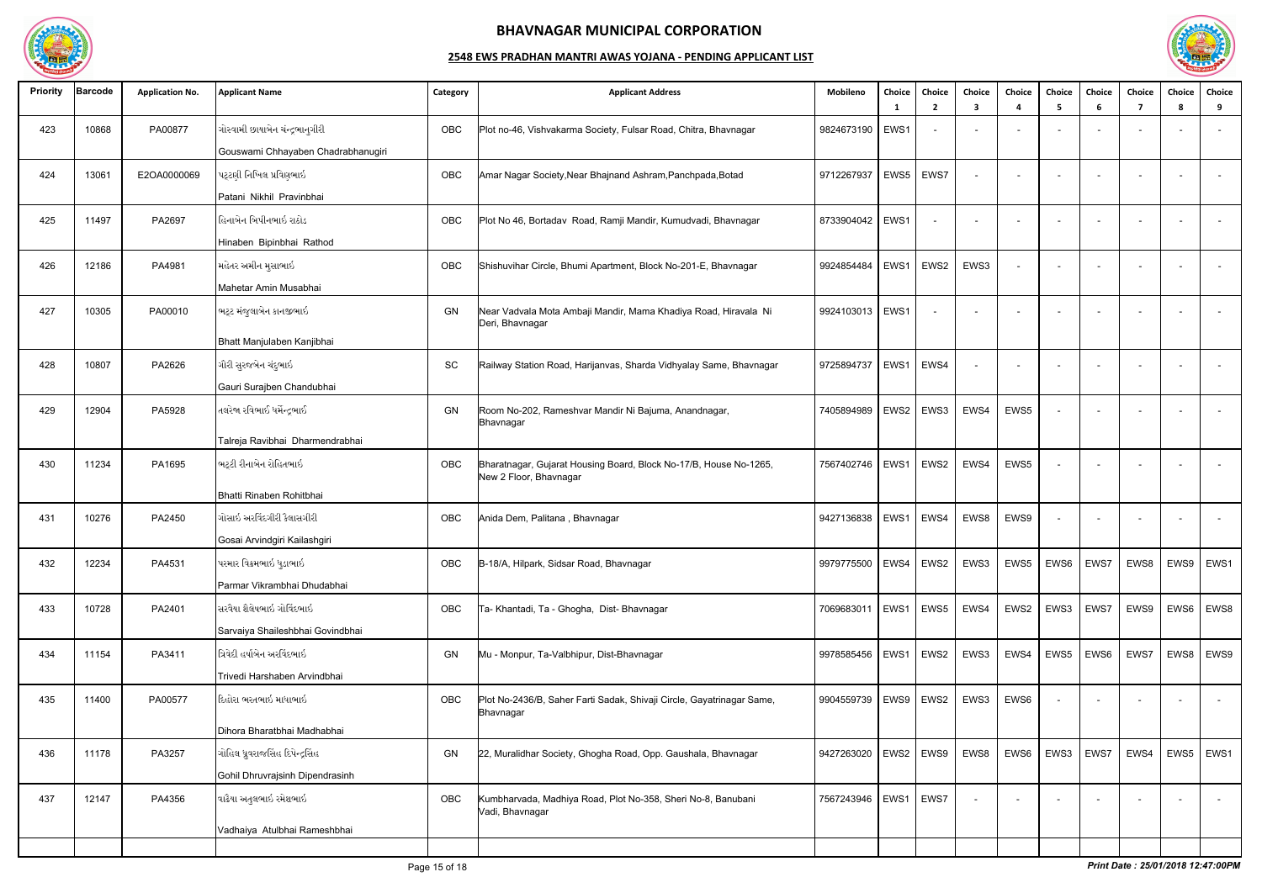

| <b>Priority</b> | Barcode | <b>Application No.</b> | <b>Applicant Name</b>              | Category   | <b>Applicant Address</b>                                                                    | Mobileno                 | Choice      | Choice<br>$\overline{2}$ | Choice<br>3 | Choice<br>$\boldsymbol{\Lambda}$ | <b>Choice</b> | Choice<br>-6 | Choice<br>7              | Choice<br>8        | Choice<br>9              |
|-----------------|---------|------------------------|------------------------------------|------------|---------------------------------------------------------------------------------------------|--------------------------|-------------|--------------------------|-------------|----------------------------------|---------------|--------------|--------------------------|--------------------|--------------------------|
| 423             | 10868   | PA00877                | ગોસ્વામી છાયાબેન ચંન્દ્રભાનુગીરી   | <b>OBC</b> | Plot no-46, Vishvakarma Society, Fulsar Road, Chitra, Bhavnagar                             | 9824673190               | EWS1        |                          |             |                                  |               |              |                          |                    |                          |
|                 |         |                        | Gouswami Chhayaben Chadrabhanugiri |            |                                                                                             |                          |             |                          |             |                                  |               |              |                          |                    |                          |
| 424             | 13061   | E2OA0000069            | પટ્ટણી નિખિલ પ્રવિણભાઇ             | OBC        | Amar Nagar Society, Near Bhajnand Ashram, Panchpada, Botad                                  | 9712267937               | EWS5        | EWS7                     |             |                                  |               |              |                          |                    | $\overline{a}$           |
|                 |         |                        | Patani Nikhil Pravinbhai           |            |                                                                                             |                          |             |                          |             |                                  |               |              |                          |                    |                          |
| 425             | 11497   | PA2697                 | હિનાબેન બિપીનભાઇ રાઠોડ             | OBC        | Plot No 46, Bortadav Road, Ramji Mandir, Kumudvadi, Bhavnagar                               | 8733904042               | EWS1        |                          |             | $\overline{\phantom{a}}$         |               |              |                          |                    | $\overline{a}$           |
|                 |         |                        | Hinaben Bipinbhai Rathod           |            |                                                                                             |                          |             |                          |             |                                  |               |              |                          |                    |                          |
| 426             | 12186   | PA4981                 | મહેતર અમીન મુસાભાઇ                 | OBC        | Shishuvihar Circle, Bhumi Apartment, Block No-201-E, Bhavnagar                              | 9924854484               | EWS1        | EWS2                     | EWS3        | $\overline{\phantom{a}}$         |               |              |                          |                    | $\sim$                   |
|                 |         |                        | Mahetar Amin Musabhai              |            |                                                                                             |                          |             |                          |             |                                  |               |              |                          |                    |                          |
| 427             | 10305   | PA00010                | ભટ્ટ મંજુલાબેન કાનજીભાઇ            | GN         | Near Vadvala Mota Ambaji Mandir, Mama Khadiya Road, Hiravala Ni<br>Deri, Bhavnagar          | 9924103013               | EWS1        |                          | $\sim$      | $\sim$                           |               |              |                          |                    | $\sim$                   |
|                 |         |                        | Bhatt Manjulaben Kanjibhai         |            |                                                                                             |                          |             |                          |             |                                  |               |              |                          |                    |                          |
| 428             | 10807   | PA2626                 | ગૌરી સુરજબેન ચંદુભાઇ               | SC         | Railway Station Road, Harijanvas, Sharda Vidhyalay Same, Bhavnagar                          | 9725894737               | EWS1        | EWS4                     |             |                                  |               |              |                          |                    | $\overline{\phantom{a}}$ |
|                 |         |                        | Gauri Surajben Chandubhai          |            |                                                                                             |                          |             |                          |             |                                  |               |              |                          |                    |                          |
| 429             | 12904   | PA5928                 | તલરેજા રવિભાઈ ધર્મેન્દ્રભાઈ        | <b>GN</b>  | Room No-202, Rameshvar Mandir Ni Bajuma, Anandnagar,<br>Bhavnagar                           | 7405894989               | EWS2        | EWS3                     | EWS4        | EWS5                             |               |              |                          |                    |                          |
|                 |         |                        | Talreja Ravibhai Dharmendrabhai    |            |                                                                                             |                          |             |                          |             |                                  |               |              |                          |                    |                          |
| 430             | 11234   | PA1695                 | ભટ્ટી રીનાબેન રોહિતભાઇ             | OBC        | Bharatnagar, Gujarat Housing Board, Block No-17/B, House No-1265,<br>New 2 Floor, Bhavnagar | 7567402746               | EWS1        | EWS2                     | EWS4        | EWS5                             |               |              |                          |                    | $\sim$                   |
|                 |         |                        | Bhatti Rinaben Rohitbhai           |            |                                                                                             |                          |             |                          |             |                                  |               |              |                          |                    |                          |
| 431             | 10276   | PA2450                 | ગોસાઇ અરવિંદગીરી કૈલાસગીરી         | OBC        | Anida Dem, Palitana, Bhavnagar                                                              | 9427136838               | EWS1   EWS4 |                          | EWS8        | EWS9                             |               |              |                          |                    | $\sim$                   |
|                 |         |                        | Gosai Arvindgiri Kailashgiri       |            |                                                                                             |                          |             |                          |             |                                  |               |              |                          |                    |                          |
| 432             | 12234   | PA4531                 | પરમાર વિક્રમભાઇ ધુડાભાઇ            | OBC        | B-18/A, Hilpark, Sidsar Road, Bhavnagar                                                     | 9979775500   EWS4   EWS2 |             |                          | EWS3        | EWS5                             | EWS6          | EWS7         |                          | EWS8   EWS9   EWS1 |                          |
|                 |         |                        | Parmar Vikrambhai Dhudabhai        |            |                                                                                             |                          |             |                          |             |                                  |               |              |                          |                    |                          |
| 433             | 10728   | PA2401                 | સરવૈયા શૈલેષભાઇ ગોવિંદભાઇ          | OBC        | Ta- Khantadi, Ta - Ghogha, Dist- Bhavnagar                                                  | 7069683011               | EWS1   EWS5 |                          | EWS4        | EWS2                             | EWS3          | EWS7         | EWS9                     | EWS6               | EWS8                     |
|                 |         |                        | Sarvaiya Shaileshbhai Govindbhai   |            |                                                                                             |                          |             |                          |             |                                  |               |              |                          |                    |                          |
| 434             | 11154   | PA3411                 | ત્રિવેદી હર્ષાબેન અરવિંદભાઇ        | GN         | Mu - Monpur, Ta-Valbhipur, Dist-Bhavnagar                                                   | 9978585456               |             | $EWS1$ EWS2              | EWS3        | EWS4                             | EWS5          | EWS6         | EWS7                     | EWS8               | EWS9                     |
|                 |         |                        | Trivedi Harshaben Arvindbhai       |            |                                                                                             |                          |             |                          |             |                                  |               |              |                          |                    |                          |
| 435             | 11400   | PA00577                | દિહોરા ભરતભાઇ માધાભાઇ              | OBC        | Plot No-2436/B, Saher Farti Sadak, Shivaji Circle, Gayatrinagar Same,<br>Bhavnagar          | 9904559739               | EWS9        | EWS2                     | EWS3        | EWS6                             |               |              | $\sim$                   |                    | $\sim$                   |
|                 |         |                        | Dihora Bharatbhai Madhabhai        |            |                                                                                             |                          |             |                          |             |                                  |               |              |                          |                    |                          |
| 436             | 11178   | PA3257                 | ગોહિલ ધ્રુવરાજસિંહ દિપેન્દ્રસિંહ   | GN         | 22, Muralidhar Society, Ghogha Road, Opp. Gaushala, Bhavnagar                               | 9427263020               | EWS2   EWS9 |                          | EWS8        | EWS6                             | EWS3          | EWS7         | EWS4                     | EWS5               | EWS1                     |
|                 |         |                        | Gohil Dhruvrajsinh Dipendrasinh    |            |                                                                                             |                          |             |                          |             |                                  |               |              |                          |                    |                          |
| 437             | 12147   | PA4356                 | વાઢૈયા અતુલભાઇ રમેશભાઇ             | OBC        | Kumbharvada, Madhiya Road, Plot No-358, Sheri No-8, Banubani<br>Vadi, Bhavnagar             | 7567243946               | EWS1        | EWS7                     |             |                                  |               |              | $\overline{\phantom{a}}$ |                    | $\sim$                   |
|                 |         |                        | Vadhaiya Atulbhai Rameshbhai       |            |                                                                                             |                          |             |                          |             |                                  |               |              |                          |                    |                          |
|                 |         |                        |                                    |            |                                                                                             |                          |             |                          |             |                                  |               |              |                          |                    |                          |

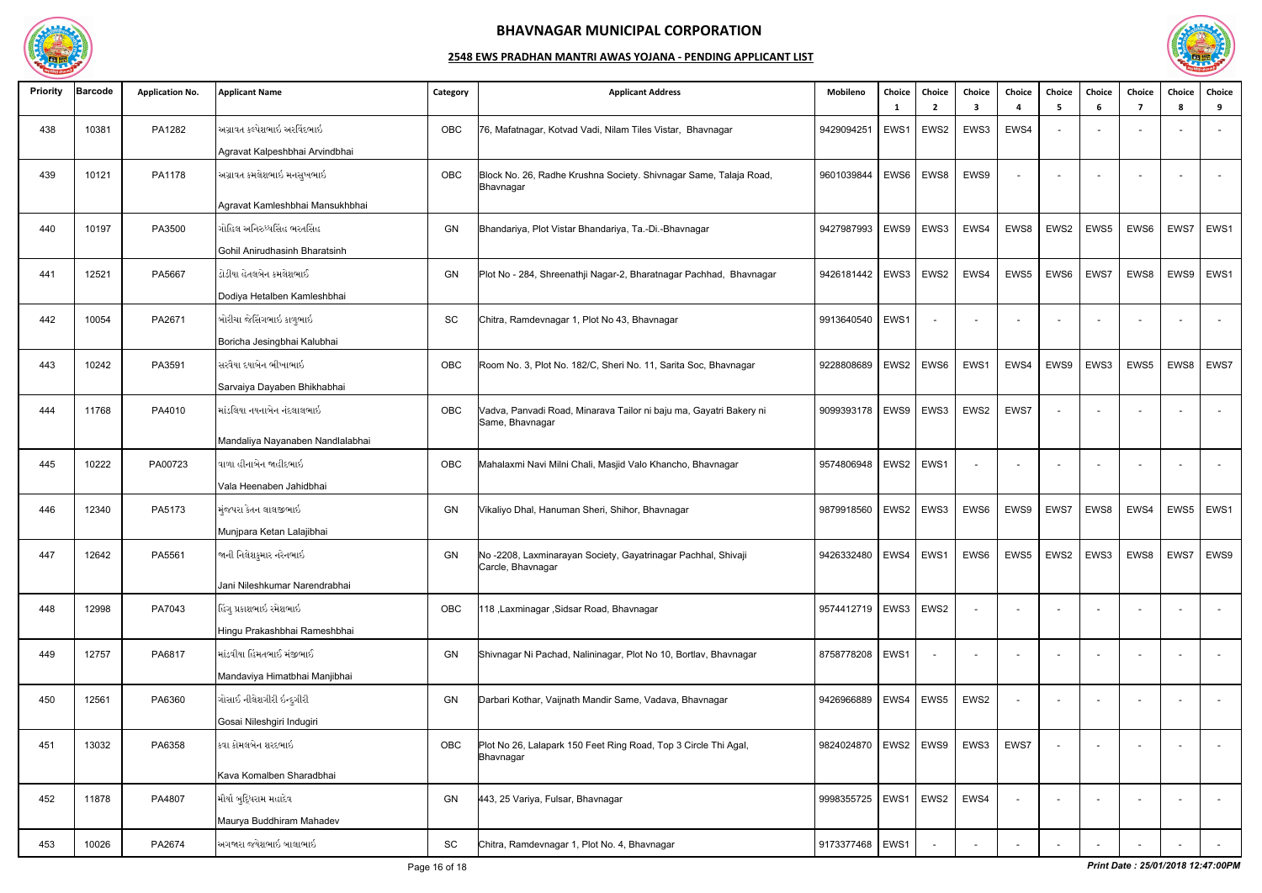

| <b>Priority</b> | Barcode | <b>Application No.</b> | <b>Applicant Name</b>                   | Category  | <b>Applicant Address</b>                                                              | Mobileno                                                                  | Choice      | <b>Choice</b><br>$\overline{2}$ | Choice<br>3              | Choice<br>Δ              | Choice | Choice<br>-6 | Choice                   | Choice<br>-8 | Choice<br>9    |
|-----------------|---------|------------------------|-----------------------------------------|-----------|---------------------------------------------------------------------------------------|---------------------------------------------------------------------------|-------------|---------------------------------|--------------------------|--------------------------|--------|--------------|--------------------------|--------------|----------------|
| 438             | 10381   | PA1282                 | અગ્રાવત કલ્પેશભાઇ અરવિંદભાઇ             | OBC       | 76, Mafatnagar, Kotvad Vadi, Nilam Tiles Vistar, Bhavnagar                            | 9429094251                                                                | EWS1        | EWS2                            | EWS3                     | EWS4                     |        |              |                          |              |                |
|                 |         |                        | Agravat Kalpeshbhai Arvindbhai          |           |                                                                                       |                                                                           |             |                                 |                          |                          |        |              |                          |              |                |
| 439             | 10121   | PA1178                 | અગ્રાવત કમલેશભાઇ મનસુખભાઇ               | OBC       | Block No. 26, Radhe Krushna Society. Shivnagar Same, Talaja Road,<br>Bhavnagar        | 9601039844                                                                | EWS6        | EWS8                            | EWS9                     | $\overline{\phantom{a}}$ |        |              |                          |              | $\overline{a}$ |
|                 |         |                        | Agravat Kamleshbhai Mansukhbhai         |           |                                                                                       |                                                                           |             |                                 |                          |                          |        |              |                          |              |                |
| 440             | 10197   | PA3500                 | <sup> </sup> ગોહિલ અનિરુધ્ધસિંહ ભરતસિંહ | GN        | Bhandariya, Plot Vistar Bhandariya, Ta.-Di.-Bhavnagar                                 | 9427987993   EWS9                                                         |             | EWS3                            | EWS4                     | EWS8                     | EWS2   | EWS5         | EWS6                     | EWS7         | EWS1           |
|                 |         |                        | Gohil Anirudhasinh Bharatsinh           |           |                                                                                       |                                                                           |             |                                 |                          |                          |        |              |                          |              |                |
| 441             | 12521   | PA5667                 | ડોડીયા હેતલબેન કમલેશભાઈ                 | GN        | Plot No - 284, Shreenathji Nagar-2, Bharatnagar Pachhad, Bhavnagar                    | 9426181442                                                                | EWS3        | EWS2                            | EWS4                     | EWS5                     | EWS6   | EWS7         | EWS8                     | EWS9         | EWS1           |
|                 |         |                        | Dodiya Hetalben Kamleshbhai             |           |                                                                                       |                                                                           |             |                                 |                          |                          |        |              |                          |              |                |
| 442             | 10054   | PA2671                 | બોરીચા જેસિંગભાઇ કાળુભાઇ                | SC        | Chitra, Ramdevnagar 1, Plot No 43, Bhavnagar                                          | 9913640540   EWS1                                                         |             |                                 |                          |                          |        |              |                          |              |                |
|                 |         |                        | Boricha Jesingbhai Kalubhai             |           |                                                                                       |                                                                           |             |                                 |                          |                          |        |              |                          |              |                |
| 443             | 10242   | PA3591                 | સિરવૈયા દયાબેન ભીખાભાઇ                  | OBC       | Room No. 3, Plot No. 182/C, Sheri No. 11, Sarita Soc, Bhavnagar                       | 9228808689                                                                | EWS2        | EWS6                            | EWS1                     | EWS4                     | EWS9   | EWS3         | EWS5                     |              | EWS8   EWS7    |
|                 |         |                        | Sarvaiya Dayaben Bhikhabhai             |           |                                                                                       |                                                                           |             |                                 |                          |                          |        |              |                          |              |                |
| 444             | 11768   | PA4010                 | માંડલિયા નયનાબેન નંદલાલભાઇ              | OBC       | Vadva, Panvadi Road, Minarava Tailor ni baju ma, Gayatri Bakery ni<br>Same, Bhavnagar | 9099393178   EWS9                                                         |             | EWS3                            | EWS2                     | EWS7                     |        |              |                          |              |                |
|                 |         |                        | Mandaliya Nayanaben Nandlalabhai        |           |                                                                                       |                                                                           |             |                                 |                          |                          |        |              |                          |              |                |
| 445             | 10222   | PA00723                | વાળા હીનાબેન જાહીદભાઇ                   | OBC       | Mahalaxmi Navi Milni Chali, Masjid Valo Khancho, Bhavnagar                            | 9574806948                                                                | EWS2   EWS1 |                                 | $\overline{\phantom{a}}$ | $\sim$                   |        |              |                          |              |                |
|                 |         |                        | Vala Heenaben Jahidbhai                 |           |                                                                                       |                                                                           |             |                                 |                          |                          |        |              |                          |              |                |
| 446             | 12340   | PA5173                 | મુંજપરા કેતન લાલજીભાઇ                   | GN        | Vikaliyo Dhal, Hanuman Sheri, Shihor, Bhavnagar                                       | 9879918560                                                                | EWS2        | EWS3                            | EWS6                     | EWS9                     | EWS7   | EWS8         | EWS4                     | EWS5         | EWS1           |
|                 |         |                        | Munjpara Ketan Lalajibhai               |           |                                                                                       |                                                                           |             |                                 |                          |                          |        |              |                          |              |                |
| 447             | 12642   | PA5561                 | જાની નિલેશકુમાર નરેનભાઇ                 | <b>GN</b> | No-2208, Laxminarayan Society, Gayatrinagar Pachhal, Shivaji<br>Carcle, Bhavnagar     | 9426332480   EWS4   EWS1   EWS6   EWS5   EWS2   EWS3   EWS8   EWS7   EWS9 |             |                                 |                          |                          |        |              |                          |              |                |
|                 |         |                        | Jani Nileshkumar Narendrabhai           |           |                                                                                       |                                                                           |             |                                 |                          |                          |        |              |                          |              |                |
| 448             | 12998   | PA7043                 | હિંગુ પ્રકાશભાઇ રમેશભાઇ                 | OBC       | 118, Laxminagar, Sidsar Road, Bhavnagar                                               | 9574412719   EWS3   EWS2                                                  |             |                                 | $\overline{\phantom{a}}$ |                          |        |              | $\overline{\phantom{a}}$ |              | $\sim$         |
|                 |         |                        | Hingu Prakashbhai Rameshbhai            |           |                                                                                       |                                                                           |             |                                 |                          |                          |        |              |                          |              |                |
| 449             | 12757   | PA6817                 | ∣માંડવીયા હિંમતભાઈ મંજીભાઈ              | GN        | Shivnagar Ni Pachad, Nalininagar, Plot No 10, Bortlav, Bhavnagar                      | 8758778208   EWS1                                                         |             |                                 |                          |                          |        |              |                          |              | $\overline{a}$ |
|                 |         |                        | Mandaviya Himatbhai Manjibhai           |           |                                                                                       |                                                                           |             |                                 |                          |                          |        |              |                          |              |                |
| 450             | 12561   | PA6360                 | ગોસાઈ નીલેશગીરી ઇન્દુગીરી               | GN        | Darbari Kothar, Vaijnath Mandir Same, Vadava, Bhavnagar                               | 9426966889                                                                | EWS4        | EWS5                            | EWS2                     |                          |        |              | $\sim$                   |              | $\sim$         |
|                 |         |                        | Gosai Nileshgiri Indugiri               |           |                                                                                       |                                                                           |             |                                 |                          |                          |        |              |                          |              |                |
| 451             | 13032   | PA6358                 | ∣કવા કોમલબેન શરદભાઇ                     | OBC       | Plot No 26, Lalapark 150 Feet Ring Road, Top 3 Circle Thi Agal,<br>Bhavnagar          | 9824024870   EWS2   EWS9                                                  |             |                                 | EWS3                     | EWS7                     |        |              |                          |              | $\sim$         |
|                 |         |                        | Kava Komalben Sharadbhai                |           |                                                                                       |                                                                           |             |                                 |                          |                          |        |              |                          |              |                |
| 452             | 11878   | PA4807                 | મૌર્યા બુદ્ધિરામ મહાદેવ                 | GN        | 443, 25 Variya, Fulsar, Bhavnagar                                                     | 9998355725   EWS1                                                         |             | EWS2                            | EWS4                     |                          |        |              | $\overline{\phantom{a}}$ |              | $\sim$         |
|                 |         |                        | Maurya Buddhiram Mahadev                |           |                                                                                       |                                                                           |             |                                 |                          |                          |        |              |                          |              |                |
| 453             | 10026   | PA2674                 | અગજારા જયેશભાઇ બાલાભાઇ                  | SC        | Chitra, Ramdevnagar 1, Plot No. 4, Bhavnagar                                          | 9173377468 EWS1                                                           |             |                                 |                          |                          |        |              |                          |              | $\sim$ $-$     |

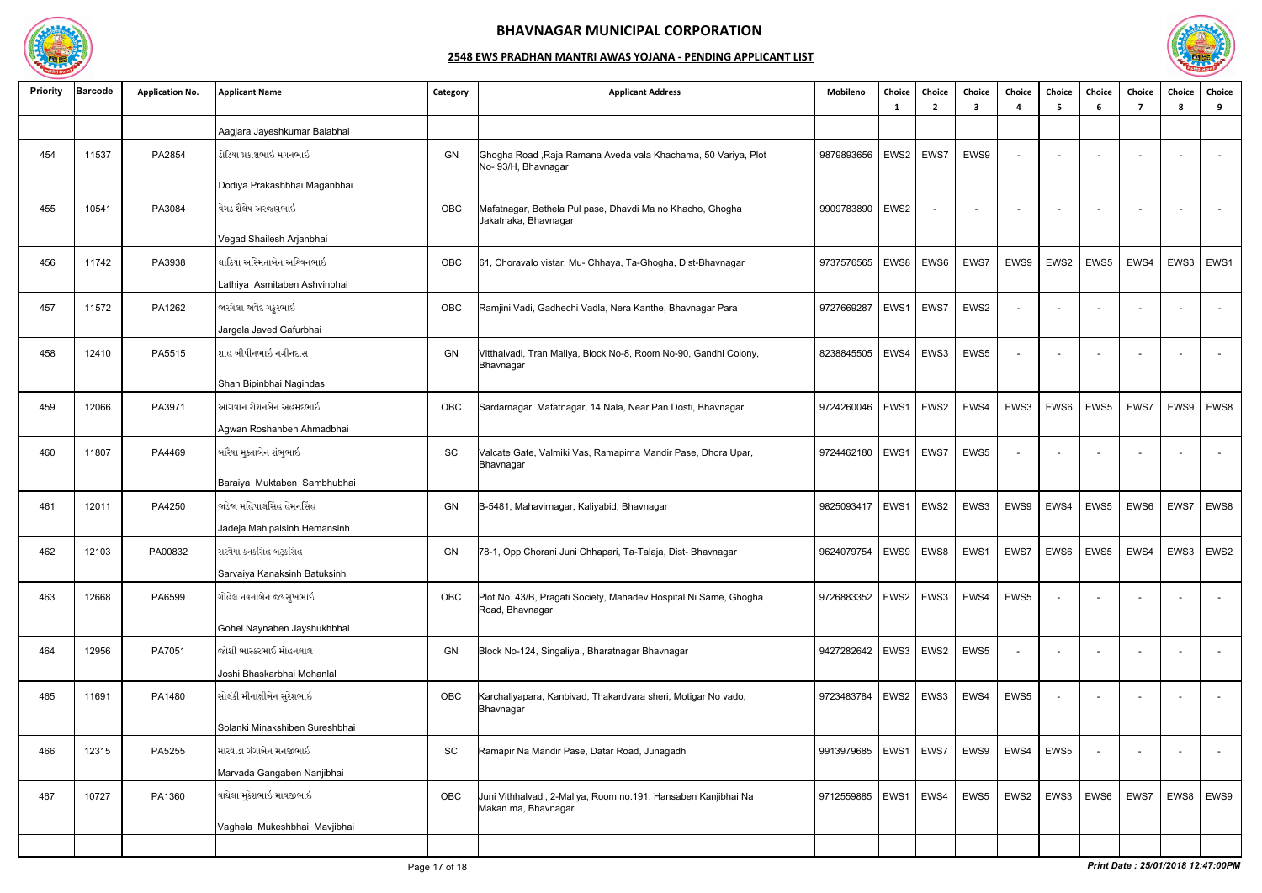

| <b>Priority</b> | <b>Barcode</b> | <b>Application No.</b> | <b>Applicant Name</b>          | Category  | <b>Applicant Address</b>                                                              | Mobileno                 | Choice<br>- 1 | Choice<br>$\overline{2}$ | Choice<br>3 | Choice                   | Choice<br>-5             | Choice<br>-6 | Choice<br>$\mathbf{7}$ | Choice<br>-8 | <b>Choice</b><br>9       |
|-----------------|----------------|------------------------|--------------------------------|-----------|---------------------------------------------------------------------------------------|--------------------------|---------------|--------------------------|-------------|--------------------------|--------------------------|--------------|------------------------|--------------|--------------------------|
|                 |                |                        | Aagjara Jayeshkumar Balabhai   |           |                                                                                       |                          |               |                          |             |                          |                          |              |                        |              |                          |
| 454             | 11537          | PA2854                 | ડોડિયા પ્રકાશભાઇ મગનભાઇ        | GN        | Ghogha Road, Raja Ramana Aveda vala Khachama, 50 Variya, Plot<br>No- 93/H, Bhavnagar  | 9879893656               | EWS2          | EWS7                     | EWS9        | $\sim$                   | $\overline{\phantom{0}}$ |              |                        |              |                          |
|                 |                |                        | Dodiya Prakashbhai Maganbhai   |           |                                                                                       |                          |               |                          |             |                          |                          |              |                        |              |                          |
| 455             | 10541          | PA3084                 | વેગડ શૈલેષ અરજણભાઇ             | OBC       | Mafatnagar, Bethela Pul pase, Dhavdi Ma no Khacho, Ghogha<br>Jakatnaka, Bhavnagar     | 9909783890               | EWS2          |                          |             | $\overline{\phantom{a}}$ |                          |              |                        |              | $\overline{\phantom{a}}$ |
|                 |                |                        | Vegad Shailesh Arjanbhai       |           |                                                                                       |                          |               |                          |             |                          |                          |              |                        |              |                          |
| 456             | 11742          | PA3938                 | લાઠિયા અસ્મિતાબેન અશ્વિનભાઇ    | OBC       | 61, Choravalo vistar, Mu- Chhaya, Ta-Ghogha, Dist-Bhavnagar                           | 9737576565               | EWS8          | EWS6                     | EWS7        | EWS9                     | EWS2                     | EWS5         | EWS4                   | EWS3         | EWS1                     |
|                 |                |                        | Lathiya Asmitaben Ashvinbhai   |           |                                                                                       |                          |               |                          |             |                          |                          |              |                        |              |                          |
| 457             | 11572          | PA1262                 | જારગેલા જાવેદ ગફુરભાઇ          | OBC       | Ramjini Vadi, Gadhechi Vadla, Nera Kanthe, Bhavnagar Para                             | 9727669287               | EWS1          | EWS7                     | EWS2        |                          |                          |              |                        |              |                          |
|                 |                |                        | Jargela Javed Gafurbhai        |           |                                                                                       |                          |               |                          |             |                          |                          |              |                        |              |                          |
| 458             | 12410          | PA5515                 | શાહ બીપીનભાઇ નગીનદાસ           | GN        | Vitthalvadi, Tran Maliya, Block No-8, Room No-90, Gandhi Colony,<br>Bhavnagar         | 8238845505               | EWS4          | EWS3                     | EWS5        | $\overline{\phantom{a}}$ |                          |              |                        |              |                          |
|                 |                |                        | Shah Bipinbhai Nagindas        |           |                                                                                       |                          |               |                          |             |                          |                          |              |                        |              |                          |
| 459             | 12066          | PA3971                 | આગવાન રોશનબેન અહમદભાઇ          | OBC       | Sardarnagar, Mafatnagar, 14 Nala, Near Pan Dosti, Bhavnagar                           | 9724260046               | EWS1          | EWS2                     | EWS4        | EWS3                     | EWS6                     | EWS5         | EWS7                   | EWS9         | EWS8                     |
|                 |                |                        | Agwan Roshanben Ahmadbhai      |           |                                                                                       |                          |               |                          |             |                          |                          |              |                        |              |                          |
| 460             | 11807          | PA4469                 | બારૈયા મુક્તાબેન શંભુભાઇ       | SC        | Valcate Gate, Valmiki Vas, Ramapirna Mandir Pase, Dhora Upar,<br>Bhavnagar            | 9724462180               | EWS1          | EWS7                     | EWS5        | $\sim$                   | $\sim$                   |              |                        |              | $\sim$                   |
|                 |                |                        | Baraiya Muktaben Sambhubhai    |           |                                                                                       |                          |               |                          |             |                          |                          |              |                        |              |                          |
| 461             | 12011          | PA4250                 | જાડેજા મહિપાલસિંહ હેમનસિંહ     | GN        | B-5481, Mahavirnagar, Kaliyabid, Bhavnagar                                            | 9825093417               | EWS1          | EWS2                     | EWS3        | EWS9                     | EWS4                     | EWS5         | EWS6                   | EWS7         | EWS8                     |
|                 |                |                        | Jadeja Mahipalsinh Hemansinh   |           |                                                                                       |                          |               |                          |             |                          |                          |              |                        |              |                          |
| 462             | 12103          | PA00832                | સરવૈયા કનકસિંહ બટુકસિંહ        | <b>GN</b> | 78-1, Opp Chorani Juni Chhapari, Ta-Talaja, Dist- Bhavnagar                           | 9624079754               |               | EWS9   EWS8              | EWS1        | EWS7                     |                          | EWS6   EWS5  |                        |              | EWS4   EWS3   EWS2       |
|                 |                |                        | Sarvaiya Kanaksinh Batuksinh   |           |                                                                                       |                          |               |                          |             |                          |                          |              |                        |              |                          |
| 463             | 12668          | PA6599                 | ગોહેલ નયનાબેન જયસુખભાઇ         | OBC       | Plot No. 43/B, Pragati Society, Mahadev Hospital Ni Same, Ghogha<br>Road, Bhavnagar   | 9726883352               |               | EWS2 EWS3                | EWS4        | EWS5                     |                          |              |                        |              | $\sim$                   |
|                 |                |                        | Gohel Naynaben Jayshukhbhai    |           |                                                                                       |                          |               |                          |             |                          |                          |              |                        |              |                          |
| 464             | 12956          | PA7051                 | જોશી ભાસ્કરભાઈ મોહનલાલ         | GN        | Block No-124, Singaliya, Bharatnagar Bhavnagar                                        | 9427282642   EWS3   EWS2 |               |                          | EWS5        | $\overline{\phantom{a}}$ |                          |              |                        |              | $\sim$                   |
|                 |                |                        | Joshi Bhaskarbhai Mohanlal     |           |                                                                                       |                          |               |                          |             |                          |                          |              |                        |              |                          |
| 465             | 11691          | PA1480                 | સોલંકી મીનાક્ષીબેન સુરેશભાઇ    | OBC       | Karchaliyapara, Kanbivad, Thakardvara sheri, Motigar No vado,<br>Bhavnagar            | 9723483784               |               | EWS2 EWS3                | EWS4        | EWS5                     |                          |              |                        |              | $\sim$                   |
|                 |                |                        | Solanki Minakshiben Sureshbhai |           |                                                                                       |                          |               |                          |             |                          |                          |              |                        |              |                          |
| 466             | 12315          | PA5255                 | મારવાડા ગંગાબેન મનજીભાઇ        | SC        | Ramapir Na Mandir Pase, Datar Road, Junagadh                                          | 9913979685               |               | EWS1   EWS7              | EWS9        | EWS4                     | EWS5                     |              |                        |              | $\sim$                   |
|                 |                |                        | Marvada Gangaben Nanjibhai     |           |                                                                                       |                          |               |                          |             |                          |                          |              |                        |              |                          |
| 467             | 10727          | PA1360                 | વાઘેલા મુકેશભાઇ માવજીભાઇ       | OBC       | Uuni Vithhalvadi, 2-Maliya, Room no.191, Hansaben Kanjibhai Na<br>Makan ma, Bhavnagar | 9712559885               | EWS1          | EWS4                     | EWS5        | EWS2                     | EWS3                     | EWS6         | EWS7                   | EWS8         | EWS9                     |
|                 |                |                        | Vaghela Mukeshbhai Mavjibhai   |           |                                                                                       |                          |               |                          |             |                          |                          |              |                        |              |                          |
|                 |                |                        |                                |           |                                                                                       |                          |               |                          |             |                          |                          |              |                        |              |                          |